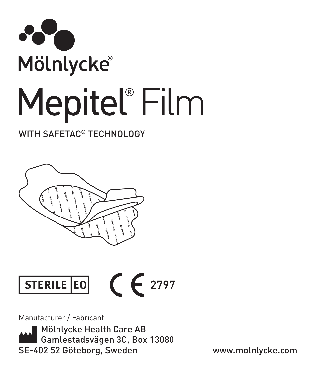

### WITH SAFFTAC<sup>®</sup> TFCHNOLOGY





Manufacturer / Fabricant

**Mölnlycke Health Care AB** Gamlestadsvägen 3C, Box 13080 SE-402 52 Göteborg, Sweden www.molnlycke.com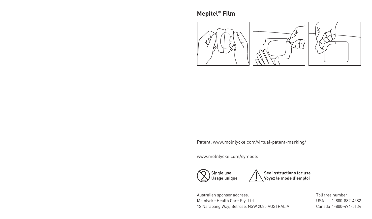

Patent: www.molnlycke.com/virtual-patent-marking/

www.molnlycke.com/symbols



See instructions for use<br>Voyez le mode d'emploi

Australian sponsor address: Mölnlycke Health Care Pty. Ltd. 12 Narabang Way, Belrose, NSW 2085 AUSTRALIA Toll free number : USA 1-800-882-4582 Canada 1-800-494-5134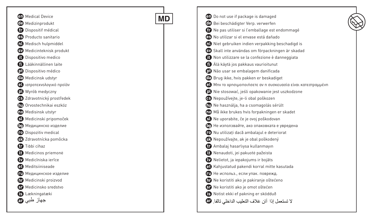| <b>90</b> Medical Device       |           | <b>ED</b> Do not use if package is damaged                        |
|--------------------------------|-----------|-------------------------------------------------------------------|
| Medizinprodukt<br>GD.          | <b>MD</b> | Bei beschädigter Verp. verwerfen                                  |
| Dispositif médical<br>æ        |           | Ne pas utiliser si l'emballage est endommagé                      |
| Producto sanitario<br>es)      |           | CB No utilizar si el envase está dañado                           |
| Medisch hulpmiddel<br>M        |           | <b>n</b> ) Niet gebruiken indien verpakking beschadigd is         |
| Medicinteknisk produkt<br>ல    |           | SV Skall inte användas om förpackningen är skadad                 |
| O<br>Dispositivo medico        |           | Non utilizzare se la confezione è danneggiata<br>o                |
| ß<br>Lääkinnällinen laite      |           | Alä käytä jos pakkaus vaurioitunut                                |
| <b>D</b> Dispositivo médico    |           | Não usar se embalagem danificada                                  |
| ⊕<br>Medicinsk udstyr          |           | <b>CB</b> Brug ikke, hvis pakken er beskadiget                    |
| ιατροτεχνολογικό προϊόν<br>GI) |           | <a>Mnv το χρησιμοποιήσετε αν η συσκευασία είναι κατεστραμμένη</a> |
| Wyrób medyczny<br>Q)           |           | Nie stosować, jeśli opakowanie jest uszkodzone                    |
| 3 Zdravotnický prostředek      |           | B Nepoužívejte, je-li obal poškozen                               |
| Orvostechnikai eszköz<br>GD.   |           | (10 Ne használja, ha a csomagolás sérült                          |
| <b>OD</b> Medisinsk utstyr     |           | <b>00</b> Må ikke brukes hvis forpakningen er skadet              |
| Medicinski pripomoček<br>Ø)    |           | Ne uporabite, če je ovoj poškodovan                               |
| <b>В.</b> Медицинско изделие   |           | <b>(b)</b> Не използвайте, ако опаковката е увредена              |
| <b>D</b> Dispozitiv medical    |           | Nu utilizati dacă ambalajul e deteriorat                          |
| Zdravotnícka pomôcka<br>GD.    |           | So Nepoužívajte, ak je obal poškodený                             |
| æ<br>Tıbbi cihaz               |           | Ambalaj hasarlıysa kullanmayın<br>œ                               |
| Medicinos priemonė<br>o        |           | Nenaudoti, jei pakuotė pažeista<br>⊕                              |
| Medicīniska ierīce             |           | Nelietot, ja iepakojums ir bojāts                                 |
| Meditsiiniseade<br>O           |           | 60 Kahjustatud pakendi korral mitte kasutada                      |
| ПО Медицинское изделие         |           | ПО Не использ., если упак. поврежд.                               |
| GD.<br>Medicinski proizvod     |           | <b>OD</b> Ne koristiti ako je pakiranje oštećeno                  |
| Medicinsko sredstvo<br>o       |           | Si Ne koristiti ako je omot oštećen                               |
| <b>B</b> Lækningatæki          |           | Notist ekki ef pakning er sködduð                                 |
| جھاز طب <i>ی ہ</i>             |           | لا تستعمل إذا آبان غلاف التعليب الداخلي تالفا. @                  |
|                                |           |                                                                   |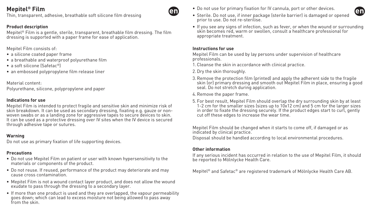Thin, transparent, adhesive, breathable soft silicone film dressing

### **Product description**

Mepitel® Film is a gentle, sterile, transparent, breathable film dressing. The film dressing is supported with a paper frame for ease of application.

Mepitel Film consists of:

- a silicone coated paper frame
- a breathable and waterproof polyurethane film
- a soft silicone (Safetac®)
- an embossed polypropylene film release liner

Material content:

Polyurethane, silicone, polypropylene and paper

### **Indications for use**

Mepitel Film is intended to protect fragile and sensitive skin and minimize risk of skin breakdown. It can be used as secondary dressing, fixating e.g. gauze or nonwoven swabs or as a landing zone for aggressive tapes to secure devices to skin. It can be used as a protective dressing over IV sites when the IV device is secured through adhesive tape or sutures.

### **Warning**

Do not use as primary fixation of life supporting devices.

### **Precautions**

- Do not use Mepitel Film on patient or user with known hypersensitivity to the materials or components of the product.
- Do not reuse. If reused, performance of the product may deteriorate and may cause cross contamination.
- Mepitel Film is not a wound contact layer product, and does not allow the wound exudate to pass through the dressing to a secondary layer.
- If more than one product is used and they are overlapped, the vapour permeability goes down; which can lead to excess moisture not being allowed to pass away from the skin.
- Do not use for primary fixation for IV cannula, port or other devices.
- Sterile. Do not use, if inner package (sterile barrier) is damaged or opened prior to use. Do not re-sterilise.
- If you see any signs of infection, such as fever, or when the wound or surrounding skin becomes red, warm or swollen, consult a healthcare professional for appropriate treatment.

#### **Instructions for use**

en

Mepitel Film can be used by lay persons under supervision of healthcare professionals.

- 1.Cleanse the skin in accordance with clinical practice.
- 2.Dry the skin thoroughly.
- 3.Remove the protection film (printed) and apply the adherent side to the fragile skin (or) primary dressing and smooth out Mepitel Film in place, ensuring a good seal. Do not stretch during application.
- 4.Remove the paper frame.
- 5. For best result, Mepitel Film should overlap the dry surrounding skin by at least 1-2 cm for the smaller sizes (sizes up to 10x12 cm) and 5 cm for the larger sizes in order to fixate the dressing securely. If the product edges start to curl, gently cut off these edges to increase the wear time.

Mepitel Film should be changed when it starts to come off, if damaged or as indicated by clinical practice.

Disposal should be handled according to local environmental procedures.

### **Other information**

If any serious incident has occurred in relation to the use of Mepitel Film, it should be reported to Mölnlycke Health Care.

Mepitel® and Safetac® are registered trademark of Mölnlycke Health Care AB.

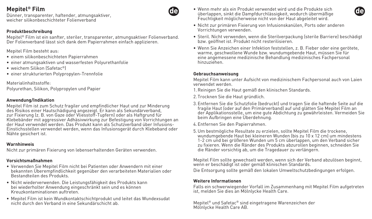Dünner, transparenter, haftender, atmungsaktiver, weicher silikonbeschichteter Folienverband

#### **Produktbeschreibung**

Mepitel® Film ist ein sanfter, steriler, transparenter, atmungsaktiver Folienverband. Der Folienverband lässt sich dank dem Papierrahmen einfach applizieren.

Mepitel Film besteht aus:

- einem silikonbeschichteten Papierrahmen
- einer atmungsaktiven und wasserfesten Polyurethanfolie
- weichem Silikon (Safetac®)
- einer strukturierten Polypropylen-Trennfolie

Materialinhaltsstoffe:

Polyurethan, Silikon, Polypropylen und Papier

#### **Anwendung/Indikation**

Mepitel Film ist zum Schutz fragiler und empfindlicher Haut und zur Minderung des Risikos einer Hautschädigung angezeigt. Er kann als Sekundärverband, zur Fixierung (z. B. von Gaze oder Vliesstoff-Tupfern) oder als Haftgrund für Klebebänder mit aggressiver Adhäsivwirkung zur Befestigung von Vorrichtungen an der Haut verwendet werden. Das Produkt kann als Schutzverband über Infusions-Einstichsstellen verwendet werden, wenn das Infusionsgerät durch Klebeband oder Nähte gesichert ist.

#### **Warnhinweis**

Nicht zur primären Fixierung von lebenserhaltenden Geräten verwenden.

#### **Vorsichtsmaßnahmen**

- Verwenden Sie Mepitel Film nicht bei Patienten oder Anwendern mit einer bekannten Überempfindlichkeit gegenüber den verarbeiteten Materialien oder Bestandteilen des Produkts.
- Nicht wiederverwenden. Die Leistungsfähigkeit des Produkts kann bei wiederholter Anwendung eingeschränkt sein und es können Kreuzkontaminationen auftreten.
- Mepitel Film ist kein Wundkontaktschichtprodukt und leitet das Wundexsudat nicht durch den Verband in eine Sekundärschicht ab.
- Wenn mehr als ein Produkt verwendet wird und die Produkte sich überlappen, sinkt die Dampfdurchlässigkeit, wodurch übermäßige Feuchtigkeit möglicherweise nicht von der Haut abgeleitet wird.
- Nicht zur primären Fixierung von Infusionskanülen, Ports oder anderen Vorrichtungen verwenden.
- Steril. Nicht verwenden, wenn die Sterilverpackung (sterile Barriere) beschädigt bzw. geöffnet ist. Produkt nicht resterilisieren.
- Wenn Sie Anzeichen einer Infektion feststellen, z. B. Fieber oder eine gerötete, warme, geschwollene Wunde bzw. wundumgebende Haut, müssen Sie für eine angemessene medizinische Behandlung medizinisches Fachpersonal hinzuziehen.

#### **Gebrauchsanweisung**

60

Mepitel Film kann unter Aufsicht von medizinischem Fachpersonal auch von Laien verwendet werden.

- 1.Reinigen Sie die Haut gemäß den klinischen Standards.
- 2. Trocknen Sie die Haut gründlich.
- 3. Entfernen Sie die Schutzfolie (bedruckt) und tragen Sie die haftende Seite auf die fragile Haut (oder auf den Primärverband) auf und glätten Sie Mepitel Film an der Applikationsstelle, um eine gute Abdichtung zu gewährleisten. Vermeiden Sie beim Aufbringen eine Überdehnung.
- 4. Entfernen Sie den Papierrahmen.
- 5.Um bestmögliche Resultate zu erzielen, sollte Mepitel Film die trockene, wundumgebende Haut bei kleineren Wunden (bis zu 10 x 12 cm) um mindestens 1-2 cm und bei größeren Wunden um 5 cm überlappen, um den Verband sicher zu fixieren. Wenn die Ränder des Produkts abzurollen beginnen, schneiden Sie die Ränder vorsichtig ab, um die Tragedauer zu verlängern.

Mepitel Film sollte gewechselt werden, wenn sich der Verband abzulösen beginnt, wenn er beschädigt ist oder gemäß klinischen Standards.

Die Entsorgung sollte gemäß den lokalen Umweltschutzbedingungen erfolgen.

### **Weitere Informationen**

Falls ein schwerwiegender Vorfall im Zusammenhang mit Mepitel Film aufgetreten ist, melden Sie dies an Mölnlycke Health Care.

Mepitel® und Safetac® sind eingetragene Warenzeichen der Mölnlycke Health Care AB.

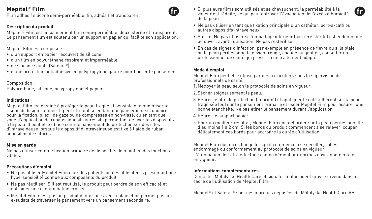Film adhésif siliconé semi-perméable, fin, adhésif et transparent

### **Description du produit**

Mepitel® Film est un pansement film semi-perméable, doux, stérile et transparent. Le pansement film est soutenu par un support en papier qui facilite son application.

Mepitel Film est composé :

- d'un support en papier recouvert de silicone
- d'un film en polyuréthane respirant et imperméable
- de silicone souple (Safetac®)
- d'une protection antiadhésive en polypropylène gaufré pour libérer le pansement

Composition :

Polyuréthane, silicone, polypropylène et papier

#### **Indications**

Mepitel Film est destiné à protéger la peau fragile et sensible et à minimiser le risque de lésion cutanée. Il peut être utilisé en tant que pansement secondaire pour la fixation, p. ex., de gaze ou de compresses en non-tissé, ou en tant que zone d'application de rubans adhésifs agressifs permettant de fixer les dispositifs à la peau. Il peut être utilisé comme pansement de protection sur des sites d'intraveineuse lorsque le dispositif d'intraveineuse est fixé à l'aide de ruban adhésif ou de sutures.

#### **Mise en garde**

Ne pas utiliser comme fixation primaire de dispositifs de maintien des fonctions vitales.

### **Précautions d'emploi**

- Ne pas utiliser Mepitel Film chez des patients ou des utilisateurs présentant une hypersensibilité connue aux composants du produit.
- Ne pas réutiliser. S'il est réutilisé, le produit peut perdre de son efficacité et entraîner une contamination croisée.
- Mepitel Film n'est pas un produit d'interface avec la plaie et ne permet pas aux exsudats de traverser le pansement vers un pansement secondaire.
- Si plusieurs films sont utilisés et se chevauchent, la perméabilité à la vapeur est réduite, ce qui peut entraver l'évacuation de l'excès d'humidité de la peau.
- Ne pas utiliser en tant que fixation principale d'un cathéter, port-a-cath ou autres dispositifs intraveineux.
- Stérile. Ne pas utiliser si l'emballage intérieur (barrière stérile) est endommagé ou ouvert avant l'utilisation. Ne pas restériliser.
- En cas de signes d'infection, par exemple en présence de fièvre ou si la plaie ou la peau périlésionnelle devient rouge, chaude ou gonflée, consulter un professionnel de santé qui prescrira un traitement adapté.

### **Mode d'emploi**

Mepitel Film peut être utilisé par des particuliers sous la supervision de professionnels de santé.

- 1. Nettoyer la peau selon le protocole de soins en vigueur.
- 2. Sécher soigneusement la peau.
- 3.Retirer le film de protection (imprimé) et appliquer le côté adhérent sur la peau fragilisée (ou) sur le pansement primaire et lisser Mepitel Film pour assurer une bonne étanchéité. Ne pas étirer le pansement durant l'application.
- 4.Retirer le support papier.
- 5.Pour un meilleur résultat, Mepitel Film doit déborder sur la peau périlésionnelle d'au moins 1 à 2 cm. Si les bords du produit commencent à se relever, couper délicatement ces bords pour accroître la durée d'utilisation.

Mepitel Film doit être changé lorsqu'il commence à se décoller, s'il est endommagé ou conformément au protocole de soins en vigueur.

L'élimination doit être effectuée conformément aux normes environnementales en vigueur.

### **Informations complémentaires**

Contacter Mölnlycke Health Care et signaler tout incident grave survenu dans le cadre de l'utilisation de Mepitel Film.

Mepitel® et Safetac® sont des marques déposées de Mölnlycke Health Care AB.

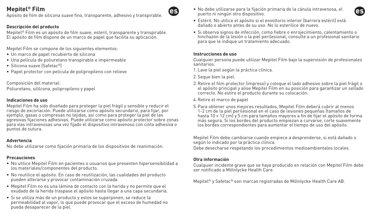Apósito de film de silicona suave fino, transparente, adhesivo y transpirable.

## **Descripción del producto**

Mepitel® Film es un apósito de film suave, esteril, transparente y transpirable. El apósito de film dispone de un marco de papel que facilita su aplicación.

Mepitel Film se compone de los siguientes elementos:

- Un marco de papel recubierto de silicona
- Una película de poliuretano transpirable e impermeable
- Silicona suave (Safetac®)
- Papel protector con película de polipropileno con relieve

Composición del material: Poliuretano, sililcona, polipropileno y papel

### **Indicaciones de uso**

Mepitel Film ha sido diseñado para proteger la piel frágil y sensible y reducir el riesgo de excoriación. Puede utilizarse como apósito secundario, para fijar, por ejemplo, gasas o compresas no tejidas, así como para proteger la piel de las agresivas fijaciones adhesivas. Puede utilizarse como apósito protector sobre zonas para vías intravenosas una vez fijado el dispositivo intravenoso con cinta adhesiva o puntos de sutura.

#### **Advertencia**

No debe utilizarse como fijación primaria de los dispositivos de reanimación.

#### **Precauciones**

- No utilice Mepitel Film en pacientes o usuarios que presenten hipersensibilidad a los materiales/componentes del producto.
- No reutilice el apósito. En caso de reutilización, las cualidades del producto pueden alterarse y provocar contaminación cruzada.
- Mepitel Film no es una lámina de contacto con la herida y no permite que el exudado de la herida traspase el apósito hasta llegar a una capa secundaria.
- Si se utiliza más de un producto y estos se superponen, se reduce la permeabilidad al vapor, lo que puede provocar que el exceso de humedad no pueda desaparecer de la piel.

• No debe utilizarse para la fijación primaria de la cánula intravenosa, el puerto ni ningún otro dispositivo.



- Estéril. No utilice el apósito si el envoltorio interior (barrera estéril) está dañado o abierto antes de su uso. No lo esterilice de nuevo.
- Si observa signos de infección, como fiebre o enrojecimiento, calentamiento o hinchazón de la lesión o la piel perilesional, consulte a un profesional sanitario para que le indique un tratamiento adecuado.

#### **Instrucciones de uso**

GS.

Cualquier persona puede utilizar Mepitel Film bajo la supervisión de profesionales sanitarios.

- 1. Lave la piel según la práctica clínica.
- 2. Seque bien la piel.
- 3.Retire el film protector (impreso) y coloque el lado adhesivo sobre la piel frágil o el apósito principal y alise Mepitel Film en su posición para garantizar un sellado correcto. No estire el producto durante su colocación.
- 4.Retire el marco de papel
- 5.Para obtener unos mejores resultados, Mepitel Film deberá cubrir al menos 1-2 cm de la piel perilesional en el caso de lesiones pequeñas (tamaños de hasta 10 × 12 cm) y 5 cm para tamaños mayores a fin de fijar el apósito de forma más segura. Si los bordes del producto empiezan a curvarse, corte suavemente los bordes correspondientes para aumentar el tiempo de uso del apósito.

Mepitel Film debe cambiarse cuando empiece a desprenderse, si está dañado o según lo indicado por la práctica clínica.

Debe desecharse respetando los procedimientos medioambientales locales.

### **Otra información**

Cualquier incidente grave que se haya producido en relación con Mepitel Film debe ser notificado a Mölnlycke Health Care.

Mepitel® y Safetac® son marcas registradas de Mölnlycke Health Care AB.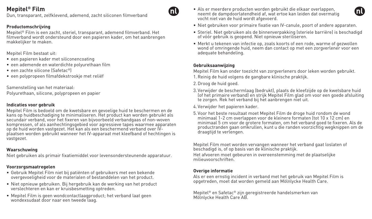Dun, transparant, zelfklevend, ademend, zacht siliconen filmverband

### **Productomschrijving**

Mepitel® Film is een zacht, steriel, transparant, ademend filmverband. Het filmverband wordt ondersteund door een papieren kader, om het aanbrengen makkelijker te maken.

Mepitel Film bestaat uit:

- een papieren kader met siliconencoating
- een ademende en waterdichte polyurethaan film
- een zachte silicone (Safetac®)
- een polypropeen filmafdekstrookje met reliëf

Samenstelling van het materiaal:

Polyurethaan, silicone, polypropeen en papier

### **Indicaties voor gebruik**

Mepitel Film is bedoeld om de kwetsbare en gevoelige huid te beschermen en de kans op huidbeschadiging te minimaliseren. Het product kan worden gebruikt als secundair verband, voor het fixeren van bijvoorbeeld verbandgaas of non-woven kompressen, of als aanhechtingsgebied voor agressieve tapes waarmee apparaten op de huid worden vastgezet. Het kan als een beschermend verband over IVplaatsen worden gebruikt wanneer het IV-apparaat met kleefband of hechtingen is vastgezet.

#### **Waarschuwing**

Niet gebruiken als primair fixatiemiddel voor levensondersteunende apparatuur.

#### **Voorzorgsmaatregelen**

- Gebruik Mepitel Film niet bij patiënten of gebruikers met een bekende overgevoeligheid voor de materialen of bestanddelen van het product.
- Niet opnieuw gebruiken. Bij hergebruik kan de werking van het product verslechteren en kan er kruisbesmetting optreden.
- Mepitel Film is geen wondcontactlaagproduct; het verband laat geen wondexsudaat door naar een tweede laag.
- Als er meerdere producten worden gebruikt die elkaar overlappen, neemt de dampdoorlatendheid af, wat ertoe kan leiden dat overmatig vocht niet van de huid wordt afgevoerd.
- Niet gebruiken voor primaire fixatie van IV-canule, poort of andere apparaten.
- Steriel. Niet gebruiken als de binnenverpakking (steriele barrière) is beschadigd of vóór gebruik is geopend. Niet opnieuw steriliseren.
- Merkt u tekenen van infectie op, zoals koorts of een rode, warme of gezwollen wond of omringende huid, neem dan contact op met een zorgverlener voor een adequate behandeling.

#### **Gebruiksaanwijzing**

GΠ

Mepitel Film kan onder toezicht van zorgverleners door leken worden gebruikt.

- 1.Reinig de huid volgens de gangbare klinische praktijk.
- 2.Droog de huid goed.
- 3. Verwijder de beschermlaag (bedrukt), plaats de kleefzijde op de kwetsbare huid (of het primaire verband) en strijk Mepitel Film glad om voor een goede afsluiting te zorgen. Rek het verband bij het aanbrengen niet uit.
- 4. Verwijder het papieren kader.
- 5. Voor het beste resultaat moet Mepitel Film de droge huid rondom de wond minimaal 1-2 cm overlappen voor de kleinere formaten (tot 10 x 12 cm) en minimaal 5 cm voor de grotere formaten, om het verband goed te fixeren. Als de productranden gaan omkrullen, kunt u die randen voorzichtig wegknippen om de draagtijd te verlengen.

Mepitel Film moet worden vervangen wanneer het verband gaat loslaten of beschadigd is, of op basis van de klinische praktijk.

Het afvoeren moet gebeuren in overeenstemming met de plaatselijke milieuvoorschriften.

#### **Overige informatie**

Als er een ernstig incident in verband met het gebruik van Mepitel Film is opgetreden, moet dat worden gemeld aan Mölnlycke Health Care.

Mepitel® en Safetac® zijn geregistreerde handelsmerken van Mölnlycke Health Care AB.

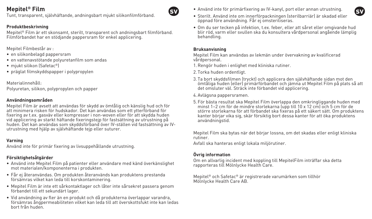Tunt, transparent, självhäftande, andningsbart mjukt silikonfilmförband.

#### **Produktbeskrivning**

Mepitel® Film är ett skonsamt, sterilt, transparent och andningsbart filmförband. Filmförbandet har en stödjande pappersram för enkel applicering.

Mepitel Filmbestår av :

- en silikonbelagd pappersram
- en vattenavstötande polyuretanfilm som andas
- mjukt silikon (Safetac®)
- präglat filmskyddspapper i polypropylen

Materialinnehåll: Polyuretan, silikon, polypropylen och papper

#### **Användningsområden**

Mepitel Film är avsett att användas för skydd av ömtålig och känslig hud och för att minimera risken för hudskador. Det kan användas som ett ytterförband för fixering av t.ex. gasväv eller kompresser i non-woven eller för att skydda huden vid applicering av starkt häftande fixeringstejp för fastsättning av utrustning på huden. Det kan användas som skyddsförband över IV-ställen vid fastsättning av IVutrustning med hjälp av självhäftande tejp eller suturer.

#### **Varning**

Använd inte för primär fixering av livsuppehållande utrustning.

### **Försiktighetsåtgärder**

- Använd inte Mepitel Film på patienter eller användare med känd överkänslighet mot materialen/komponenterna i produkten.
- Får ej återanvändas. Om produkten återanvänds kan produktens prestanda försämras vilket kan leda till korskontaminering.
- Mepitel Film är inte ett sårkontaktlager och låter inte sårsekret passera genom förbandet till ett sekundärt lager.
- Vid användning av fler än en produkt och då produkterna överlappar varandra, försämras ångpermeabiliteten vilket kan leda till att överskottsfukt inte kan ledas bort från huden.

• Använd inte för primärfixering av IV-kanyl, port eller annan utrustning.

• Om du ser tecken på infektion, t.ex. feber, eller att såret eller omgivande hud blir röd, varm eller svullen ska du konsultera vårdpersonal angående lämplig behandling.

#### **Bruksanvisning**

 $\mathbf{S}$ 

Mepitel Film kan användas av lekmän under övervakning av kvalificerad vårdpersonal.

- 1.Rengör huden i enlighet med kliniska rutiner.
- 2. Torka huden ordentligt.
- 3. Ta bort skyddsfilmen (tryckt) och applicera den självhäftande sidan mot den ömtåliga huden (eller) primärförbandet och jämna ut Mepitel Film på plats så att det omsluter väl. Sträck inte förbandet vid applicering.
- 4. Avlägsna pappersramen.
- 5. För bästa resultat ska Mepitel Film överlappa den omkringliggande huden med minst 1–2 cm för de mindre storlekarna (upp till 10 x 12 cm) och 5 cm för de större storlekarna för att förbandet ska fixeras på ett säkert sätt. Om produktens kanter börjar vika sig, skär försiktig bort dessa kanter för att öka produktens användningstid.

Mepitel Film ska bytas när det börjar lossna, om det skadas eller enligt kliniska rutiner.

Avfall ska hanteras enligt lokala miljörutiner.

## **Övrig information**

Om en allvarlig incident med koppling till MepitelFilm inträffar ska detta rapporteras till Mölnlycke Health Care.

Mepitel® och Safetac® är registrerade varumärken som tillhör Mölnlycke Health Care AB.

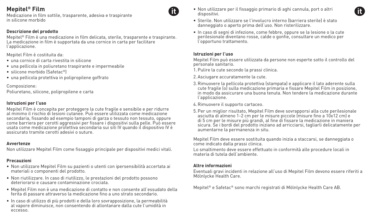Medicazione in film sottile, trasparente, adesiva e traspirante in silicone morbido

### **Descrizione del prodotto**

Mepitel® Film è una medicazione in film delicata, sterile, trasparente e traspirante. La medicazione in film è supportata da una cornice in carta per facilitare l'applicazione.

Mepitel Film è costituita da:

- una cornice di carta rivestita in silicone
- una pellicola in poliuretano traspirante e impermeabile
- silicone morbido (Safetac®)
- una pellicola protettiva in polipropilene goffrato

Composizione: Poliuretano, silicone, polipropilene e carta

#### **Istruzioni per l'uso**

Mepitel Film è concepita per proteggere la cute fragile e sensibile e per ridurre al minimo il rischio di lesioni cutanee. Può essere utilizzata come medicazione secondaria, fissando ad esempio tamponi di garza o tessuto non tessuto, oppure come barriera per cerotti aggressivi per fissare i dispositivi sulla pelle. Può essere usata come medicazione protettiva secondaria sui siti IV quando il dispositivo IV è assicurato tramite cerotti adesivi o suture.

#### **Avvertenze**

Non utilizzare Mepitel Film come fissaggio principale per dispositivi medici vitali.

### **Precauzioni**

- Non utilizzare Mepitel Film su pazienti o utenti con ipersensibilità accertata ai materiali o componenti del prodotto.
- Non riutilizzare. In caso di riutilizzo, le prestazioni del prodotto possono deteriorarsi e causare contaminazione crociata.
- Mepitel Film non è una medicazione di contatto e non consente all'essudato della ferita di passare attraverso la medicazione fino a uno strato secondario.
- In caso di utilizzo di più prodotti e della loro sovrapposizione, la permeabilità al vapore diminuisce, non consentendo di allontanare dalla cute l'umidità in eccesso.

• Non utilizzare per il fissaggio primario di aghi cannula, port o altri dispositivi.



- Sterile. Non utilizzare se l'involucro interno (barriera sterile) è stato danneggiato o aperto prima dell'uso. Non risterilizzare.
- In caso di segni di infezione, come febbre, oppure se la lesione o la cute perilesionale diventano rosse, calde o gonfie, consultare un medico per l'opportuno trattamento.

### **Istruzioni per l'uso**

Mepitel Film può essere utilizzata da persone non esperte sotto il controllo del personale sanitario.

- 1.Pulire la cute secondo la prassi clinica.
- 2. Asciugare accuratamente la cute.
- 3.Rimuovere la pellicola protettiva (stampata) e applicare il lato aderente sulla cute fragile (o) sulla medicazione primaria e fissare Mepitel Film in posizione, in modo da assicurare una buona tenuta. Non tendere la medicazione durante l'applicazione.
- 4.Rimuovere il supporto cartaceo.
- 5.Per un miglior risultato, Mepitel Film deve sovrapporsi alla cute perilesionale asciutta di almeno 1-2 cm per le misure piccole (misure fino a 10x12 cm) e di 5 cm per le misure più grandi, al fine di fissare la medicazione in maniera sicura. Se i bordi del prodotto iniziano ad arricciarsi, tagliarli delicatamente per aumentarne la permanenza in situ.

Mepitel Film deve essere sostituita quando inizia a staccarsi, se danneggiata o come indicato dalla prassi clinica.

Lo smaltimento deve essere effettuato in conformità alle procedure locali in materia di tutela dell'ambiente.

### **Altre informazioni**

Eventuali gravi incidenti in relazione all'uso di Mepitel Film devono essere riferiti a Mölnlycke Health Care.

Mepitel® e Safetac® sono marchi registrati di Mölnlycke Health Care AB.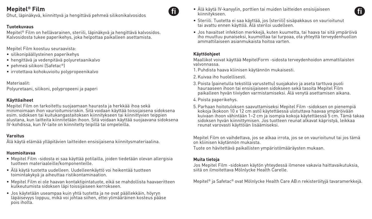Ohut, läpinäkyvä, kiinnittyvä ja hengittävä pehmeä silikonikalvosidos

#### **Tuotekuvaus**

Mepitel® Film on hellävarainen, steriili, läpinäkyvä ja hengittävä kalvosidos. Kalvosidosta tukee paperikehys, joka helpottaa paikalleen asettamista.

Mepitel Film koostuu seuraavista:

- silikonipäällysteinen paperikehys
- hengittävä ja vedenpitävä polyuretaanikalvo
- pehmeä silikoni (Safetac®)
- irrotettava kohokuvioitu polypropeenikalvo

Materiaalit: Polyuretaani, silikoni, polypropeeni ja paperi

#### **Käyttöaiheet**

Mepitel Film on tarkoitettu suojaamaan haurasta ja herkkää ihoa sekä minimoimaan ihon vaurioitumisriskin. Sitä voidaan käyttää toissijaisena sidoksena esim. sidoksen tai kuitukangastaitoksen kiinnitykseen tai kiinnittyvien teippien alustana, kun laitteita kiinnitetään ihoon. Sitä voidaan käyttää suojaavana sidoksena IV-kohdissa, kun IV-laite on kiinnitetty teipillä tai ompeleilla.

### **Varoitus**

Älä käytä elämää ylläpitävien laitteiden ensisijaisena kiinnitysmateriaalina.

### **Huomioitavaa**

- Mepitel Film -sidosta ei saa käyttää potilailla, joiden tiedetään olevan allergisia tuotteen materiaaleille/komponenteille.
- Älä käytä tuotetta uudelleen. Uudelleenkäyttö voi heikentää tuotteen toimintakykyä ja aiheuttaa ristikontaminaation.
- Mepitel Film ei ole haavan kontaktipintatuote, eikä se mahdollista haavaeritteen kulkeutumista sidoksen läpi toissijaiseen kerrokseen.
- Jos käytetään useampaa kuin yhtä tuotetta ja ne ovat päällekkäin, höyryn läpäisevyys loppuu, mikä voi johtaa siihen, ettei ylimääräinen kosteus pääse pois iholta.
- Älä käytä IV-kanyylin, porttien tai muiden laitteiden ensisijaiseen kiinnitykseen.
- Steriili. Tuotetta ei saa käyttää, jos (steriili) sisäpakkaus on vaurioitunut tai avattu ennen käyttöä. Älä steriloi uudelleen.
- Jos havaitset infektion merkkejä, kuten kuumetta, tai haava tai sitä ympäröivä iho muuttuu punaiseksi, kuumottaa tai turpoaa, ota yhteyttä terveydenhuollon ammattilaiseen asianmukaista hoitoa varten.

#### **Käyttöohjeet**

Maallikot voivat käyttää MepitelForm -sidosta terveydenhoidon ammattilaisten valvonnassa.

- 1.Puhdista haava kliinisen käytännön mukaisesti.
- 2.Kuivaa iho huolellisesti.
- 3.Poista (painetulla tekstillä varustettu) suojakalvo ja aseta tarttuva puoli hauraaseen ihoon tai ensisijaiseen sidokseen sekä tasoita Mepitel Film paikalleen hyvän tiiviyden varmistamiseksi. Älä venytä asettamisen aikana.
- 4.Poista paperikehys.
- 5.Parhaan hoitotuloksen saavuttamiseksi Mepitel Film -sidoksen on pienempiä kokoja (kokoon 10 x 12 cm asti) käytettäessä ulotuttava haavaa ympäröivään kuivaan ihoon vähintään 1–2 cm ja isompia kokoja käytettäessä 5 cm. Tämä takaa sidoksen hyvän kiinnittymisen. Jos tuotteen reunat alkavat käpristyä, leikkaa reunat varovasti käyttöiän lisäämiseksi.

Mepitel Film on vaihdettava, jos se alkaa irrota, jos se on vaurioitunut tai jos tämä on kliinisen käytännön mukaista.

Tuote on hävitettävä paikallisten ympäristömääräysten mukaan.

### **Muita tietoja**

Jos Mepitel Film -sidoksen käytön yhteydessä ilmenee vakavia haittavaikutuksia, siitä on ilmoitettava Mölnlycke Health Carelle.

Mepitel® ja Safetac® ovat Mölnlycke Health Care AB:n rekisteröityjä tavaramerkkejä.

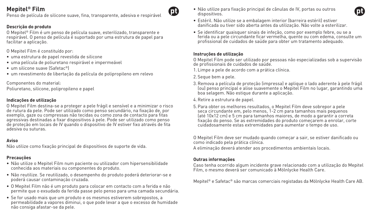Penso de película de silicone suave, fina, transparente, adesiva e respirável

### **Descrição do produto**

O Mepitel® Film é um penso de película suave, esterilizado, transparente e respirável. O penso de película é suportado por uma estrutura de papel para facilitar a aplicação.

O Mepitel Film é constituído por:

- uma estrutura de papel revestida de silicone
- uma película de poliuretano respirável e impermeável
- um silicone suave (Safetac®)
- um revestimento de libertação da película de polipropileno em relevo

Componentes do material:

Poliuretano, silicone, polipropileno e papel

## **Indicações de utilização**

O Mepitel Film destina-se a proteger a pele frágil e sensível e a minimizar o risco de rutura da pele. Pode ser utilizado como penso secundário, na fixação de, por exemplo, gaze ou compressas não tecidas ou como zona de contacto para fitas agressivas destinadas a fixar dispositivos à pele. Pode ser utilizado como penso de proteção em locais de IV quando o dispositivo de IV estiver fixo através de fita adesiva ou suturas.

### **Aviso**

Não utilize como fixação principal de dispositivos de suporte de vida.

### **Precauções**

- Não utilize o Mepitel Film num paciente ou utilizador com hipersensibilidade conhecida aos materiais ou componentes do produto.
- Não reutilize. Se reutilizado, o desempenho do produto poderá deteriorar-se e poderá causar contaminação cruzada.
- O Mepitel Film não é um produto para colocar em contacto com a ferida e não permite que o exsudado da ferida passe pelo penso para uma camada secundária.
- Se for usado mais que um produto e os mesmos estiverem sobrepostos, a permeabilidade a vapores diminui, o que pode levar a que o excesso de humidade não consiga afastar-se da pele.

• Não utilize para fixação principal de cânulas de IV, portas ou outros dispositivos.



- Estéril. Não utilize se a embalagem interior (barreira estéril) estiver danificada ou tiver sido aberta antes da utilização. Não volte a esterilizar.
- Se identificar quaisquer sinais de infeção, como por exemplo febre, ou se a ferida ou a pele circundante ficar vermelha, quente ou com edema, consulte um profissional de cuidados de saúde para obter um tratamento adequado.

## **Instruções de utilização**

O Mepitel Film pode ser utilizado por pessoas não especializadas sob a supervisão de profissionais de cuidados de saúde.

- 1. Limpe a pele de acordo com a prática clínica.
- 2. Seque bem a pele.
- 3.Remova a película de proteção (impressa) e aplique o lado aderente à pele frágil (ou) penso principal e alise suavemente o Mepitel Film no lugar, garantindo uma boa selagem. Não estique durante a aplicação.
- 4.Retire a estrutura de papel.
- 5.Para obter os melhores resultados, o Mepitel Film deve sobrepor a pele seca circundante em, pelo menos, 1-2 cm para tamanhos mais pequenos (até 10x12 cm) e 5 cm para tamanhos maiores, de modo a garantir a correta fixação do penso. Se as extremidades do produto começarem a enrolar, corte cuidadosamente estas extremidades para aumentar o tempo de uso.

O Mepitel Film deve ser mudado quando começar a sair, se estiver danificado ou como indicado pela prática clínica.

A eliminação deverá atender aos procedimentos ambientais locais.

### **Outras informações**

Caso tenha ocorrido algum incidente grave relacionado com a utilização do Mepitel Film, o mesmo deverá ser comunicado à Mölnlycke Health Care.

Mepitel® e Safetac® são marcas comerciais registadas da Mölnlycke Health Care AB.

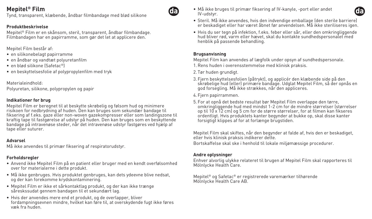Tynd, transparent, klæbende, åndbar filmbandage med blød silikone

#### **Produktbeskrivelse**

Mepitel® Film er en skånsom, steril, transparent, åndbar filmbandage. Filmbandagen har en papirramme, som gør det let at applicere den.

Mepitel Film består af:

- en silikonebelagt papirramme
- en åndbar og vandtæt polyuretanfilm
- en blød silikone (Safetac®)
- en beskyttelsesfolie af polypropylenfilm med tryk

Materialeindhold: Polyuretan, silikone, polypropylen og papir

#### **Indikationer for brug**

Mepitel Film er beregnet til at beskytte skrøbelig og følsom hud og minimere risikoen for nedbrydning af huden. Den kan bruges som sekundær bandage til fiksering af f.eks. gaze eller non-woven gazekompresser eller som landingszone til kraftig tape til fastgørelse af udstyr på huden. Den kan bruges som en beskyttende bandage på intravenøse steder, når det intravenøse udstyr fastgøres ved hjælp af tape eller suturer.

#### **Advarsel**

Må ikke anvendes til primær fiksering af respiratorudstyr.

### **Forholdsregler**

- Anvend ikke Mepitel Film på en patient eller bruger med en kendt overfølsomhed over for materialerne i dette produkt.
- Må ikke genbruges. Hvis produktet genbruges, kan dets ydeevne blive nedsat, og der kan forekomme krydskontaminering.
- Mepitel Film er ikke et sårkontaktlag produkt, og der kan ikke trænge såreskssudat gennem bandagen til et sekundært lag.
- Hvis der anvendes mere end et produkt, og de overlapper, bliver fordampningsevnen mindre, hvilket kan føre til, at overskydende fugt ikke føres væk fra huden.

• Må ikke bruges til primær fiksering af IV-kanyle, -port eller andet IV-udstyr.



- Steril. Må ikke anvendes, hvis den indvendige emballage (den sterile barriere) er beskadiget eller har været åbnet før anvendelsen. Må ikke steriliseres igen.
- Hvis du ser tegn på infektion, f.eks. feber eller sår, eller den omkringliggende hud bliver rød, varm eller hævet, skal du kontakte sundhedspersonalet med henblik på passende behandling.

#### **Brugsanvisning**

Mepitel Film kan anvendes af lægfolk under opsyn af sundhedspersonale.

- 1.Rens huden i overensstemmelse med klinisk praksis.
- 2. Tør huden grundigt.
- 3. Fjern beskyttelsesfolien (påtrykt), og applicér den klæbende side på den skrøbelige hud (eller) primære bandage. Udglat Mepitel Film, så der opnås en god forsegling. Må ikke strækkes, når den appliceres.
- 4. Fjern papirrammen.
- 5. For at opnå det bedste resultat bør Mepitel Film overlappe den tørre, omkringliggende hud med mindst 1-2 cm for de mindre størrelser (størrelser op til 10 x 12 cm) og 5 cm for de større størrelser, for at filmen kan fikseres ordentligt. Hvis produktets kanter begynder at bukke op, skal disse kanter forsigtigt klippes af for at forlænge brugstiden.

Mepitel Film skal skiftes, når den begynder at falde af, hvis den er beskadiget, eller hvis klinisk praksis indikerer dette.

Bortskaffelse skal ske i henhold til lokale miljømæssige procedurer.

### **Andre oplysninger**

Enhver alvorlig ulykke relateret til brugen af Mepitel Film skal rapporteres til Mölnlycke Health Care.

Mepitel® og Safetac® er registrerede varemærker tilhørende Mölnlycke Health Care AB.

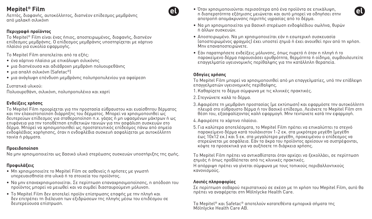Λεπτός, διαφανής, αυτοκόλλητος, διαπνέον επίδεσμος μεμβράνης από μαλακή σιλικόνη

### **Περιγραφή προϊόντος**

To Mepitel® Film είναι ένας ήπιος, αποστειρωμένος, διαφανής, διαπνέον επίδεσμος μεμβράνης. Ο επίδεσμος μεμβράνης υποστηρίζεται με χάρτινο πλαίσιο για ευκολία εφαρμογής.

To Mepitel Film αποτελείται από τα εξής:

- ένα χάρτινο πλαίσιο με επικάλυψη σιλικόνης
- μια διαπνέουσα και αδιάβροχη μεμβράνη πολυουρεθάνης
- μια απαλή σιλικόνη (Safetac®)
- μια ανάγλυφη επένδυση μεμβράνης πολυπροπυλενίου για αφαίρεση

Συστατικά υλικού: Πολυουρεθάνη, σιλικόνη, πολυπροπυλένιο και χαρτί

### **Ενδείξεις χρήσης**

To Mepitel Film προορίζεται για την προστασία εύθραυστου και ευαίσθητου δέρματος και την ελαχιστοποίηση διάρρηξης του δέρματος. Μπορεί να χρησιμοποιηθεί ως δευτερεύων επίδεσμος για σταθεροποίηση π.χ. γάζας ή μη υφασμένων μάκτρων ή ως επιφάνεια για την τοποθέτηση επιθετικών ταινιών για την ασφάλιση συσκευών στο δέρμα. Μπορεί να χρησιμοποιηθεί ως προστατευτικός επίδεσμος πάνω από σημεία ενδοφλέβιας χορήγησης, όταν η ενδοφλέβια συσκευή ασφαλίζεται με αυτοκόλλητη ταινία ή ράμματα.

#### **Προειδοποίηση**

Να μην χρησιμοποιείται ως βασικό υλικό στερέωσης συσκευών υποστήριξης της ζωής.

## **Προφυλάξεις**

- Μη χρησιμοποιείτε το Mepitel Film σε ασθενείς ή χρήστες με γνωστή υπερευαισθησία στα υλικά ή τα στοιχεία του προϊόντος.
- Να μην επαναχρησιμοποιείται. Σε περίπτωση επαναχρησιμοποίησης, η απόδοση του προϊόντος μπορεί να μειωθεί και να συμβεί διασταυρούμενη μόλυνση.
- Το Mepitel Film δεν αποτελεί προϊόν επίστρωσης επαφής με την πληγή και δεν επιτρέπει τη διέλευση των εξιδρώσεων της πληγής μέσω του επιδέσμου σε δευτερεύουσα επίστρωση.
- Όταν χρησιμοποιούνται περισσότερα από ένα προϊόντα σε επικάλυψη, η διαπερατότητα εξάτμισης μειώνεται και αυτό μπορεί να οδηγήσει στην αποτροπή απομάκρυνσης περιττής υγρασίας από το δέρμα.
- Να μη χρησιμοποιείται για βασική στερέωση ενδοφλέβιου σωλήνα, θυρών ή άλλων συσκευών.
- Αποστειρωμένο. Να μη χρησιμοποιείται εάν η εσωτερική συσκευασία (αποστειρωμένος φραγμός) έχει υποστεί ζημιά ή έχει ανοιχθεί πριν από τη χρήση. Μην επαναποστειρώνετε.
- Εάν παρατηρήσετε ενδείξεις μόλυνσης, όπως πυρετό ή όταν η πληγή ή το παρακείμενο δέρμα παρουσιάσει ερυθρότητα, θερμότητα ή οίδημα, συμβουλευτείτε επαγγελματία υγειονομικής περίθαλψης για την κατάλληλη θεραπεία.

### **Οδηγίες χρήσης**

Το Mepitel Film μπορεί να χρησιμοποιηθεί από μη επαγγελματίες, υπό την επίβλεψη επαγγελματιών υγειονομικής περίθαλψης.

- 1.Καθαρίζετε το δέρμα σύμφωνα με τις κλινικές πρακτικές.
- 2. Στεγνώνετε καλά το δέρμα.
- 3. Αφαιρέστε τη μεμβράνη προστασίας (με εκτύπωση) και εφαρμόστε την αυτοκόλλητη πλευρά στο εύθραυστο δέρμα ή τον βασικό επίδεσμο. Λειάνετε το Mepitel Film στη θέση του, εξασφαλίζοντας καλή εφαρμογή. Μην τεντώνετε κατά την εφαρμογή.
- 4. Αφαιρέστε το χάρτινο πλαίσιο.
- 5. Για καλύτερα αποτελέσματα, το Mepitel Film πρέπει να επικαλύπτει το στεγνό παρακείμενο δέρμα κατά τουλάχιστον 1-2 εκ. στα μικρότερα μεγέθη (μεγέθη έως 10x12 εκ.) και 5 εκ. στα μεγαλύτερα μεγέθη, προκειμένου ο επίδεσμος να στερεώνεται με ασφάλεια. Εάν τα άκρα του προϊόντος αρχίσουν να συστρέφονται, κόψτε τα προσεκτικά για να αυξήσετε τη διάρκεια χρήσης.

Το Mepitel Film πρέπει να αντικαθίσταται όταν αρχίζει να ξεκολλάει, σε περίπτωση ζημιάς ή όπως προβλέπεται από τις κλινικές πρακτικές.

Η απόρριψη πρέπει να γίνεται σύμφωνα με τους τοπικούς περιβαλλοντικούς κανονισμούς.

### **Λοιπές πληροφορίες**

Σε περίπτωση σοβαρού περιστατικού σε σχέση με τη χρήση του Mepitel Film, αυτό θα πρέπει να αναφέρεται στη Mölnlycke Health Care.

Τα Mepitel® και Safetac® αποτελούν κατατεθέντα εμπορικά σήματα της Mölnlycke Health Care AB.



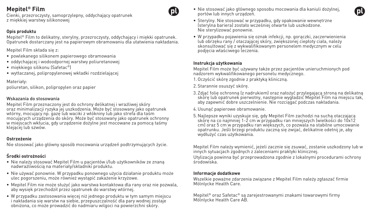Cienki, przezroczysty, samoprzylepny, oddychający opatrunek z miękkiej warstwy silikonowej

## **Opis produktu**

Mepitel® Film to delikatny, sterylny, przezroczysty, oddychający i miękki opatrunek. Opatrunek dostarczany jest na papierowym obramowaniu dla ułatwienia nakładania.

Mepitel Film składa się z:

- powlekanego silikonem papierowego obramowania
- oddychającej i wodoodpornej warstwy poliuretanowej
- miękkiego silikonu (Safetac®)
- wytłaczanej, polipropylenowej wkładki rozdzielającej

Materiały: poliuretan, silikon, polipropylen oraz papier

### Wskazania do stosowania

Mepitel Film przeznaczony jest do ochrony delikatnej i wrażliwej skóry oraz minimalizacji ryzyka jej uszkodzenia. Może być stosowany jako opatrunek wtórny, mocujący np. gazę lub waciki z włókniny lub jako strefa dla taśm mocujących urządzenia do skóry. Może być stosowany jako opatrunek ochronny w miejscach wkłucia, gdy urządzenie dożylne jest mocowane za pomocą taśmy klejącej lub szwów.

### **Ostrzeżenie**

Nie stosować jako główny sposób mocowania urządzeń podtrzymujących życie.

## **Środki ostrożności**

- Nie należy stosować Mepitel Film u pacjentów i/lub użytkowników ze znaną nadwrażliwością na materiały/składniki produktu.
- Nie używać ponownie. W przypadku ponownego użycia działanie produktu może ulec pogorszeniu, może również wystąpić zakażenie krzyżowe.
- Mepitel Film nie może służyć jako warstwa kontaktowa dla rany oraz nie pozwala, aby wysięk przechodził przez opatrunek do warstwy wtórnej.
- W przypadku zastosowania więcej niż jednego produktu w tym samym miejscu i nakładania się warstw na siebie, przepuszczalność dla pary wodnej zostaje obniżona, co może prowadzić do nadmiaru wilgoci na powierzchni skóry.
- Nie stosować jako głównego sposobu mocowania dla kaniuli dożylnej, portów lub innych urządzeń.
- Sterylny. Nie stosować w przypadku, gdy opakowanie wewnętrzne (sterylna bariera) zostało wcześniej otwarte lub uszkodzone. Nie sterylizować ponownie.
- W przypadku pojawienia się oznak infekcji, np. gorączki, zaczerwienienia lub obrzęku rany / otaczającej skóry, zwiększonej ciepłoty ciała, należy skonsultować się z wykwalifikowanym personelem medycznym w celu podjęcia właściwego leczenia.

#### **Instrukcja użytkowania**

Mepitel Film może być używany także przez pacjentów unieruchmionych pod nadzorem wykwalifikowanego personelu medycznego.

1.Oczyścić skórę zgodnie z praktyką kliniczną.

- 2. Starannie osuszyć skórę.
- 3. Zdjąć folię ochronną (z nadrukiem) oraz nałożyć przylegającą stroną na delikatną skóre lub opatrunek pierwotny, następnie wygładzić Mepitel Film na miejscu tak. aby zapewnić dobre uszczelnienie. Nie rozciągać podczas nakładania.

4.Usunąć papierowe obramowanie.

5. Najlepsze wyniki uzyskuje się, gdy Mepitel Film zachodzi na suchą otaczającą skórę na co najmniej 1-2 cm w przypadku ran mniejszych (wielkości do 10x12 cm) oraz 5 cm w przypadku ran większych, co pozwala na stabilne umocowanie opatrunku. Jeśli brzegi produktu zaczną się zwijać, delikatnie odetnij je, aby wydłużyć czas użytkowania.

Mepitel Film należy wymienić, jeżeli zacznie się zsuwać, zostanie uszkodzony lub w innych sytuacjach zgodnych z zaleceniami praktyki klinicznej. Utylizacja powinna być przeprowadzona zgodnie z lokalnymi procedurami ochrony środowiska

### **Informacje dodatkowe**

Wszelkie poważne zdarzenia związane z Mepitel Film należy zgłaszać firmie Mölnlycke Health Care.

Mepitel® oraz Safetac® są zarejestrowanymi znakami towarowymi firmy Mölnlycke Health Care AB.



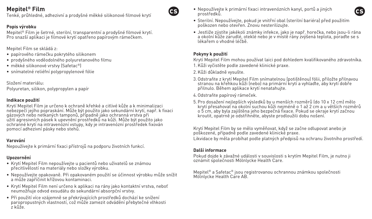Tenké, průhledné, adhezivní a prodyšné měkké silikonové filmové krytí

## **Popis výrobku**

Mepitel® Film je šetrné, sterilní, transparentní a prodyšné filmové krytí. Pro snazší aplikaci je filmové krytí opatřeno papírovým rámečkem.

Mepitel Film se skládá z:

- papírového rámečku pokrytého silikonem
- prodyšného voděodolného polyuretanového filmu
- měkké silikonové vrstvy (Safetac®)
- snímatelné reliéfní polypropylenové fólie

### Složení materiálu:

Polyuretan, silikon, polypropylen a papír

## **Indikace použití**

Krytí Mepitel Film je určeno k ochraně křehké a citlivé kůže a k minimalizaci nebezpečí jejího popraskání. Může být použito jako sekundární krytí, např. k fixaci gázových nebo netkaných tamponů, případně jako ochranná vrstva při užití agresivních pásek k upevnění prostředků na kůži. Může být použito jako ochranné krytí na intravenózní vstupy, kdy je intravenózní prostředek fixován pomocí adhezivní pásky nebo stehů.

## **Varování**

Nepoužívejte k primární fixaci přístrojů na podporu životních funkcí.

## **Upozornění**

- Krytí Mepitel Film nepoužívejte u pacientů nebo uživatelů se známou přecitlivělostí na materiály nebo složky výrobku.
- Nepoužívejte opakovaně. Při opakovaném použití se účinnost výrobku může snížit a může zapříčinit křížovou kontaminaci.
- Krytí Mepitel Film není určeno k aplikaci na rány jako kontaktní vrstva, neboť neumožňuje odvod exsudátu do sekundární absorpční vrstvy.
- Při použití více vzájemně se překrývajících prostředků dochází ke snížení paropropustných vlastností, což může zamezit odvádění přebytečné vlhkosti z kůže.

• Nepoužívejte k primární fixaci intravenózních kanyl, portů a jiných prostředků.



- Sterilní. Nepoužívejte, pokud je vnitřní obal (sterilní bariéra) před použitím poškozen nebo otevřen. Znovu nesterilizujte.
- Jestliže zjistíte jakékoli známky infekce, jako je např. horečka, nebo jsou-li rána a okolní kůže zarudlé, oteklé nebo je v místě rány zvýšená teplota, poraďte se s lékařem o vhodné léčbě.

## **Pokyny k použití**

Krytí Mepitel Film mohou používat laici pod dohledem kvalifikovaného zdravotníka. 1.Kůži vyčistěte podle zavedené klinické praxe.

- 2.Kůži důkladně vysušte.
- 3.Odstraňte z krytí Mepitel Film snímatelnou (potištěnou) fólii, přiložte přilnavou stranou na křehkou kůži (nebo) na primární krytí a vyhlaďte, aby krytí dobře přilnulo. Během aplikace krytí nenatahujte.
- 4.Odstraňte papírový rámeček.
- 5.Pro dosažení nejlepších výsledků by u menších rozměrů (do 10 x 12 cm) mělo krytí přesahovat na okolní suchou kůži nejméně o 1 až 2 cm a u větších rozměrů o 5 cm, aby byla zajištěna jeho bezpečná fixace. Pokud se okraje krytí začnou kroutit, opatrně je odstřihněte, abyste prodloužili dobu nošení.

Krytí Mepitel Film by se mělo vyměňovat, když se začne odlupovat anebo je poškozené, případně podle zavedené klinické praxe. Likvidace by měla probíhat podle platných předpisů na ochranu životního prostředí.

## **Další informace**

Pokud dojde k závažné události v souvislosti s krytím Mepitel Film, je nutno ji oznámit společnosti Mölnlycke Health Care.

Mepitel® a Safetac® jsou registrovanou ochrannou známkou společnosti Mölnlycke Health Care AB.

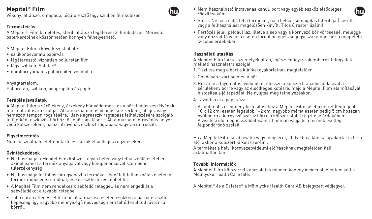Vékony, átlátszó, öntapadó, légáteresztő lágy szilikon filmkötszer

## **Termékleírás**

A Mepitel® Film kíméletes, steril, átlátszó légáteresztő filmkötszer. Merevítő papírkeretének köszönhetően könnyen felhelyezhető.

A Mepitel Film a következőkből áll:

- szilikonbevonatú papírváz
- légáteresztő, vízhatlan poliuretán film
- lágy szilikon (Safetac®)
- dombornyomatos polipropilén védőfólia

Anyagtartalom: Poliuretán, szilikon, polipropilén és papír

#### **Terápiás javallatok**

A Mepitel Film a sérülékeny, érzékeny bőr védelmére és a bőrelhalás veszélyének minimalizálására szolgál. Alkalmazható másodlagos kötszerként, pl. géz vagy nemszőtt tampon rögzítésére, illetve agresszív ragtapasz felhelyezésére szolgáló felületként eszközök bőrhöz történő rögzítésére. Alkalmazható intravénás helyek védő kötszereként, ha az intravénás eszközt ragtapasz vagy varrat rögzíti.

#### **Figyelmeztetés**

Nem használható életfenntartó eszközök elsődleges rögzítéseként.

### **Óvintézkedések**

- Ne használja a Mepitel Film kötszert olyan beteg vagy felhasználó esetében, akinél ismert a termék anyagaival vagy komponenseivel szembeni túlérzékenység.
- Ne használja fel többször ugyanazt a terméket! Ismételt felhasználás esetén a termék minősége romolhat, és keresztfertőzés léphet fel.
- A Mepitel Film nem rendelkezik sebfedő réteggel, és nem engedi át a sebváladékot a további rétegbe.
- Több darab átfedéssel történő alkalmazása esetén csökken a páraáteresztő képesség, így nagyobb mennyiségű nedvesség nem feltétlenül tud távozni a bőrről.

• Nem használható intravénás kanül, port vagy egyéb eszköz elsődleges rögzítéseként.



- Steril. Ne használja fel a terméket, ha a belső csomagolás (steril gát) sérült, vagy a felhasználást megelőzően kinyílt. Tilos újrasterilizálni!
- Fertőzés jelei, például láz, illetve a seb vagy a környező bőr vörösessé, meleggé vagy duzzadttá válása esetén forduljon egészségügyi szakemberhez a megfelelő kezelés érdekében.

#### **Használati utasítás**

A Mepitel Film laikus személyek általi, egészségügyi szakemberek felügyelete melletti használatra szolgál.

- 1. Tisztítsa meg a bőrt a klinikai gyakorlatnak megfelelően.
- 2.Gondosan szárítsa meg a bőrt.
- 3.Húzza le a (nyomatos) védőfóliát, illessze a kötszert tapadós oldalával a sérülékeny bőrre vagy az elsődleges kötésre, majd a Mepitel Film elsimításával biztosítsa a jó tapadást. Ne nyújtsa meg felhelyezéskor.
- 4. Távolítsa el a papírvázat.
- 5. Az optimális eredmény biztosításához a Mepitel Film kisebb méret (legfeljebb 10 x 12 cm) esetén legalább 1–2 cm, nagyobb méret esetén pedig 5 cm hosszan nyúljon rá a környező száraz bőrre a kötszer stabil rögzítése érdekében. A viselési idő meghosszabbításához finoman vágja le a termék esetleg felpöndörödő széleit.

Ha a Mepitel Film kezd leválni vagy megsérül, illetve ha a klinikai gyakorlat ezt írja elő, akkor a kötszert ki kell cserélni.

A terméket a helyi környezetvédelmi előírásoknak megfelelően kell ártalmatlanítani.

#### **További információk**

A Mepitel Film kötszerrel kapcsolatos minden komoly incidenst jelenteni kell a Mölnlycke Health Care felé.

A Mepitel® és a Safetac® a Mölnlycke Health Care AB bejegyzett védjegyei.

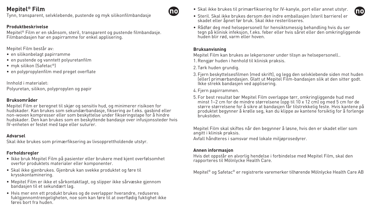Tynn, transparent, selvklebende, pustende og myk silikonfilmbandasje

### **Produktbeskrivelse**

Mepitel® Film er en skånsom, steril, transparent og pustende filmbandasje. Filmbandasjen har en papirramme for enkel applisering.

Mepitel Film består av:

- en silikonbelagt papirramme
- en pustende og vanntett polyuretanfilm
- myk silikon (Safetac®)
- en polypropylenfilm med preget overflate

Innhold i materialet:

Polyuretan, silikon, polypropylen og papir

### **Bruksområder**

Mepitel Film er beregnet til skjør og sensitiv hud, og minimerer risikoen for hudskader. Kan brukes som sekundærbandasje, fiksering av f.eks. gasbind eller non-woven kompresser eller som beskyttelse under fikseringstape for å hindre hudskader. Den kan brukes som en beskyttende bandasje over infusjonssteder hvis IV-enheten er festet med tape eller suturer.

### **Advarsel**

Skal ikke brukes som primærfiksering av livsopprettholdende utstyr.

### **Forholdsregler**

- Ikke bruk Mepitel Film på pasienter eller brukere med kjent overfølsomhet overfor produktets materialer eller komponenter.
- Skal ikke gjenbrukes. Gjenbruk kan svekke produktet og føre til krysskontaminering.
- Mepitel Film er ikke et sårkontaktlagt, og slipper ikke sårvæske gjennom bandasjen til et sekundært lag.
- Hvis mer enn ett produkt brukes og de overlapper hverandre, reduseres fuktgjennomtrengeligheten, noe som kan føre til at overflødig fuktighet ikke føres bort fra huden.





- Steril. Skal ikke brukes dersom den indre emballasjen (steril barriere) er skadet eller åpnet før bruk. Skal ikke resteriliseres.
- Rådfør deg med helsepersonell for hensiktsmessig behandling hvis du ser tegn på klinisk infeksjon, f.eks. feber eller hvis såret eller den omkringliggende huden blir rød, varm eller hoven.

### **Bruksanvisning**

Mepitel Film kan brukes av lekpersoner under tilsyn av helsepersonell..

- 1.Rengjør huden i henhold til klinisk praksis.
- 2. Tørk huden grundig.
- 3. Fjern beskyttelsesfilmen (med skrift), og legg den selvklebende siden mot huden (eller) primærbandasjen. Glatt ut Mepitel Film-bandasjen slik at den sitter godt. Ikke strekk bandasjen ved applisering.
- 4. Fjern papirrammen.
- 5. For best resultat bør Mepitel Film overlappe tørr, omkringliggende hud med minst 1–2 cm for de mindre størrelsene (opp til 10 x 12 cm) og med 5 cm for de større størrelsene for å sikre at bandasjen får tilstrekkelig feste. Hvis kantene på produktet begynner å krølle seg, kan du klippe av kantene forsiktig for å forlenge brukstiden.

Mepitel Film skal skiftes når den begynner å løsne, hvis den er skadet eller som angitt i klinisk praksis. Avfall håndteres i samsvar med lokale miljøprosedyrer.

### **Annen informasjon**

Hvis det oppstår en alvorlig hendelse i forbindelse med Mepitel Film, skal den rapporteres til Mölnlycke Health Care.

Mepitel® og Safetac® er registrerte varemerker tilhørende Mölnlycke Health Care AB

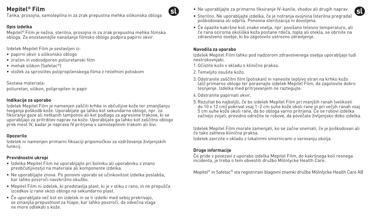Tanka, prosojna, samolepilna in za zrak prepustna mehka silikonska obloga

## **Opis izdelka**

Mepitel® Film je nežna, sterilna, prosojna in za zrak prepustna mehka filmska obloga. Za enostavnejše nanašanje filmsko oblogo podpira papirni okvir.

Izdelek Mepitel Film je sestavljen iz:

- papirni okvir s silikonsko oblogo
- zračen in vodoodporen poliuretanski film
- mehak silikon (Safetac®)
- vložek za sprostitev polipropilenskega filma z reliefnim potiskom

Sestava materiala: poliuretan, silikon, polipropilen in papir

### **Indikacije za uporabo**

Izdelek Mepitel Film je namenjen zaščiti krhke in občutljive kože ter zmanjšanju tveganja poškodb kože. Uporabljate ga lahko kot sekundarno oblogo, npr. za fiksiranje gaze ali netkanih tamponov ali kot podlago za agresivne trakove, ki se uporabljajo za pritrditev naprav na kožo. Uporabljate ga lahko kot zaščitno oblogo prek mest IV, kadar je naprava IV pritrjena s samolepilnim trakom ali šivi.

### **Opozorilo**

Izdelek ni namenjen primarni fiksaciji pripomočkov za vzdrževanje življenjskih funkcij.

### **Previdnostni ukrepi**

- Izdelka Mepitel Film ne uporabljajte pri bolniku ali uporabniku z znano preobčutljivostjo na materiale ali komponente izdelka.
- Ne uporabljajte znova. Po ponovni uporabi se učinkovitost izdelka poslabša, kar lahko povzroči navzkrižno okužbo.
- Mepitel Film ni izdelek, ki predstavlja plast, ki je v stiku z rano, in ne prepušča izcedkov iz rane skozi oblogo na sekundarno plast.
- Če uporabljate več kot en izdelek in se ti izdelki med seboj prekrivajo, se zmanjša prepustnost za hlape; kar lahko povzroči, da odvečna vlaga ne more odtekati s kože.

• Ne uporabljajte za primarno fiksiranje IV-kanile, vhodov ali drugih naprav.

• Če opazite kakršne koli znake vnetja, npr. povišano telesno temperaturo, ali če rana oziroma okoliška koža postane rdeča, topla ali otekla, se obrnite na zdravstveno osebje, ki bo zagotovilo ustrezno zdravljenje.

#### **Navodila za uporabo**

đ

Izdelek Mepitel Film lahko pod nadzorom zdravstvenega osebja uporabljajo tudi nestrokovnjaki.

- 1.Očistite kožo v skladu s klinično prakso.
- 2. Temeljito osušite kožo.
- 3.Odstranite zaščitni film (potiskan) in nanesite lepljivo stran na krhko kožo (ali) primarno oblogo ter poravnajte izdelek Mepitel Film, da zagotovite dobro tesnjenje. Izdelka med pritrjevanjem ne raztegujte.
- 4.Odstranite papirnati okvir.
- 5.Rezultat bo najboljši, če bo izdelek Mepitel Film pri manjših ranah (velikosti do 10 x 12 cm) pokrival vsaj 1–2 cm suhe kože okoli rane in pri večjih ranah vsaj 5 cm suhe kože okoli rane, da bo obloga varno pritrjena. Če se robovi izdelka začnejo zvijati, previdno odrežite te robove, da povečate življenjsko dobo izdelka.

Izdelek Mepitel Film morate zamenjati, ko se začne snemati, če je poškodovan ali če tako zahteva klinična praksa.

Izdelek zavrzite v skladu z lokalnimi smernicami o varovanju okolja.

## **Druge informacije**

Če pride v povezavi z uporabo izdelka Mepitel Film, do kakršnega koli resnega incidenta, je treba o tem obvestiti družbo Mölnlycke Health Care.

Mepitel® in Safetac® sta registrirani blagovni znamki družbe Mölnlycke Health Care AB

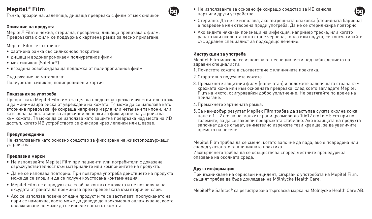Тънка, прозрачна, залепяща, дишаща превръзка с филм от мек силикон

#### **Описание на продукта**

Mepitel® Film е нежна, стерилна, прозрачна, дишаща превръзка с филм. Превръзката с филм се поддържа с хартиена рамка за лесно прилагане.

Mepitel Film се състои от:

- хартиена рамка със силиконово покритие
- дишащ и водонепромокаем полиуретанов филм
- мек силикон (Safetac®)
- вградена освобождаваща подложка от полипропиленов филм

Съдържание на материала: Полиуретан, силикон, полипропилен и хартия

### **Показания за употреба**

Превръзката Mepitel Film има за цел да предпазва крехка и чувствителна кожа и да минимизира риска от увреждане на кожата. Тя може да се използва като вторична превръзка, фиксираща например марля или нетъкани тампони, или като зона за поставяне за агресивни лепенки за фиксиране на устройства към кожата. Тя може да се използва като защитна превръзка над места на ИВ достъп, когато ИВ устройството се фиксира чрез лепенки или шевове.

#### **Предупреждение**

Не използвайте като основно средство за фиксиране на животоподдържащи устройства.

#### **Предпазни мерки**

- Не използвайте Mepitel Film при пациенти или потребители с доказана свръхчувствителност към материалите или компонентите на продукта.
- Да не се използва повторно. При повторна употреба действието на продукта може да се влоши и да се получи кръстосана контаминация.
- Mepitel Film не е продукт със слой за контакт с кожата и не позволява на ексудата от раната да преминава през превръзката към вторичен слой.
- Ако се използва повече от един продукт и те се застъпват, пропускането на пари се намалява, което може да доведе до прекомерно овлажняване, което овлажняване не може да се изведе навън от кожата.

• Не използвайте за основно фиксиращо средство за ИВ канюла, порт или други устройства.



- Стерилно. Да не се използва, ако вътрешната опаковка (стерилната бариера) е повредена или отворена преди употреба. Да не се стерилизира повторно.
- Ако видите някакви признаци на инфекция, например треска, или когато раната или околната кожа стане червена, топла или подута, се консултирайте със здравен специалист за подходящо лечение.

### **Инструкции за употреба**

 $\mathbf{G}$ 

Mepitel Film може да се използва от неспециалисти под наблюдението на здравни специалисти.

- 1.Почистете кожата в съответствие с клиничната практика.
- 2.Старателно подсушете кожата.
- 3.Премахнете защитния филм (напечатан) и положете залепящата страна към крехката кожа или към основната превръзка, след което загладете Mepitel Film на място, осигурявайки добро уплътнение. Не разтягайте по време на прилагане.
- 4.Премахнете хартиената рамка.
- 5.За най-добър резултат Mepilex Film трябва да застъпва сухата околна кожа поне с 1 – 2 cm за по-малките рани (размери до 10x12 cm) и с 5 cm при поголемите, за да се закрепи превръзката стабилно. Ако краищата на продукта започнат да се огъват, внимателно изрежете тези краища, за да увеличите времето на носене.

Mepitel Film трябва да се сменя, когато започне да пада, ако е повредена или според указаното от клиничната практика.

Изхвърлянето трябва да се осъществява според местните процедури за опазване на околната среда.

### **Друга информация**

При възникване на сериозен инцидент, свързан с употребата на Mepitel Film, същият трябва да бъде докладван на Mölnlycke Health Care.

Mepitel<sup>®</sup> и Safetac® са регистрирана търговска марка на Mölnlycke Health Care AB.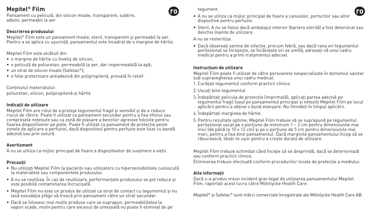Pansament cu peliculă, din silicon moale, transparent, subțire, adeziv, permeabil la aer

### **Descrierea produsului**

Mepitel® Film este un pansament moale, steril, transparent şi permeabil la aer. Pentru a se aplica cu usurință, pansamentul este încadrat de o margine de hârtie.

Mepitel Film este alcătuit din:

- o margine de hârtie cu înveliş de silicon;
- o peliculă de poliuretan, permeabilă la aer, dar impermeabilă la apă;
- un strat de silicon moale (Safetac®);
- o folie protectoare antiadezivă din polipropilenă, presată în relief.

Continutul materialului:

poliuretan, silicon, polipropilenă şi hârtie

### **Indicaţii de utilizare**

Mepitel Film are rolul de a proteja tegumentul fragil și sensibil și de a reduce riscul de rănire. Poate fi utilizat ca pansament secundar pentru a fixa tifonul sau compresele netesute sau ca zonă de plasare a benzilor agresive folosite pentru fixarea dispozitivelor pe piele. Poate fi utilizat ca pansament de protectie peste zonele de aplicare a perfuziei, dacă dispozitivul pentru perfuzie este fixat cu bandă adezivă sau prin sutură.

### **Avertisment**

A nu se utiliza ca mijloc principal de fixare a dispozitivelor de sustinere a vietii.

## **Precauţii**

- Nu utilizați Mepitel Film la pacienții sau utilizatorii cu hipersensibilitate cunoscută la materialele sau componentele produsului.
- A nu se reutiliza. În caz de reutilizare, performantele produsului se pot reduce și este posibilă contaminarea încrucişată.
- Mepitel Film nu este un produs de utilizat ca strat de contact cu tegumentul şi nu lasă exsudaţia plăgii să treacă prin pansament către un strat secundar.
- Dacă se folosesc mai multe produse care se suprapun, permeabilitatea la vapori scade, motiv pentru care excesul de umezeală nu poate fi eliminat de pe

tegument.

- (ro • A nu se utiliza ca mijloc principal de fixare a canulelor, porturilor sau altor dispozitive pentru perfuzie.
- Steril. A nu se folosi dacă ambalajul interior (bariera sterilă) a fost deteriorat sau deschis înainte de utilizare.

A nu se resteriliza.

• Dacă observați semne de infecție, precum febră, sau dacă rana ori tegumentul perilezional se înroseste, se încălzeste ori se umflă, adresati-vă unui cadru medical pentru a primi tratamentul adecvat.

### **Instrucţiuni de utilizare**

Mepitel Film poate fi utilizat de către persoanele nespecializate în domeniul sanitar sub supravegherea unui cadru medical.

- 1. Curătati tegumentul conform practicii clinice.
- 2. Uscati bine tegumentul.
- 3. Îndepărtați pelicula de protecție (imprimată), aplicați partea adezivă pe tegumentul fragil (sau) pe pansamentul principal şi neteziţi Mepitel Film pe locul aplicării pentru a obţine o bună etanşare. Nu întindeţi în timpul aplicării.
- 4. Îndepărtaţi marginea de hârtie.
- 5.Pentru rezultate optime, Mepitel Film trebuie să se suprapună pe tegumentul  $p$ erilezional uscat pe o portiune de minimum  $1 - 2$  cm pentru dimensiunile mai mici (de până la 10 x 12 cm) şi pe o porţiune de 5 cm pentru dimensiunile mai mari, pentru a fixa bine pansamentul. Dacă marginile pansamentului încep să se răsucească, tăiaţi-le uşor pentru a creşte durata de utilizare.

Mepitel Film trebuie schimbat când începe să se desprindă, dacă se deteriorează sau conform practicii clinice.

Eliminarea trebuie efectuată conform procedurilor locale de protectie a mediului.

### **Alte informaţii**

Dacă s-a produs vreun incident grav legat de utilizarea pansamentului Mepitel Film, raportati acest lucru către Mölnlycke Health Care.

Mepitel® şi Safetac® sunt mărci comerciale înregistrate ale Mölnlycke Health Care AB.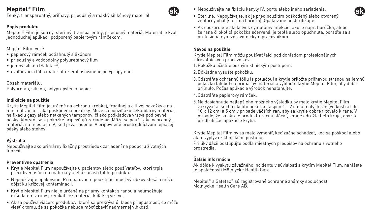Tenký, transparentný, priľnavý, priedušný a mäkký silikónový materiál

## **Popis produktu**

Mepitel® Film je šetrný, sterilný, transparentný, priedušný materiál Materiál je kvôli jednoduchej aplikácii podporený papierovým rámčekom.

Mepitel Film tvorí:

- papierový rámček potiahnutý silikónom
- priedušný a vodoodolný polyuretánový film
- jemný silikón (Safetac®)
- uvoľňovacia fólia materiálu z embosovaného polypropylénu

Obsah materiálu: Polyuretán, silikón, polypropylén a papier

### **Indikácie na použitie**

Krytie Mepitel Film je určené na ochranu krehkej, fragilnej a citlivej pokožky a na minimalizáciu rizika poškodenia pokožky. Môže sa použiť ako sekundárny materiál na fixáciu gázy alebo netkaných tampónov, či ako podkladová vrstva pod pevné pásky, ktorými sa k pokožke pripevňujú zariadenia. Môže sa použiť ako ochranný materiál na miestach IV, keď je zariadenie IV pripevnené prostredníctvom lepiacej pásky alebo stehov.

### **Výstraha**

Nepoužívajte ako primárny fixačný prostriedok zariadení na podporu životných funkcií.

### **Preventívne opatrenia**

- Krytie Mepitel Film nepoužívajte u pacientov alebo používateľov, ktorí trpia precitlivenosťou na materiály alebo súčasti tohto produktu.
- Nepoužívajte opakovane. Pri opätovnom použití účinnosť výrobkov klesá a môže dôjsť ku krížovej kontaminácii.
- Krytie Mepitel Film nie je určené na priamy kontakt s ranou a neumožňuje exsudátom z rany prenikať cez materiál k ďalšej vrstve.
- Ak sa používa viacero produktov, ktoré sa prekrývajú, klesá priepustnosť, čo môže viesť k tomu, že sa pokožka nebude môcť zbaviť nadmernej vlhkosti.
- Nepoužívajte na fixáciu kanyly IV, portu alebo iného zariadenia.
- Sterilné. Nepoužívajte, ak je pred použitím poškodený alebo otvorený vnútorný obal (sterilná bariéra). Opakovane nesterilizujte.
- Ak spozorujete akékoľvek symptómy infekcie, ako je napr. horúčka, alebo že rana či okolitá pokožka sčervená, je teplá alebo opuchnutá, poraďte sa s profesionálnym zdravotníckym pracovníkom.

#### **Návod na použitie**

GR

Krytie Mepitel Film môžu používať laici pod dohľadom profesionálnych zdravotníckych pracovníkov.

- 1.Pokožku očistite bežným klinickým postupom.
- 2.Dôkladne vysušte pokožku.
- 3.Odstráňte ochrannú fóliu (s potlačou) a krytie priložte priľnavou stranou na jemnú pokožku (alebo) na primárny materiál a vyhlaďte krytie Mepitel Film, aby dobre priľnulo. Počas aplikácie výrobok nenaťahujte.
- 4.Odstráňte papierový rámček.
- 5. Na dosiahnutie najlepšieho možného výsledku by malo krytie Mepitel Film zakrývať aj suchú okolitú pokožku, aspoň 1 – 2 cm u malých rán (veľkosti až do 10 x 12 cm) a 5 cm v prípade väčších rán, aby sa krytie dobre fixovalo k rane. V prípade, že sa okraje produktu začnú stáčať, jemne odrežte tieto kraje, aby ste predĺžili čas aplikácie krytia.

Krytie Mepitel Film by sa malo vymeniť, keď začne schádzať, keď sa poškodí alebo ak to vyplýva z klinického postupu.

Pri likvidácii postupujte podľa miestnych predpisov na ochranu životného prostredia.

## **Ďalšie informácie**

Ak dôjde k výskytu závažného incidentu v súvislosti s krytím Mepitel Film, nahláste to spoločnosti Mölnlycke Health Care.

Mepitel® a Safetac® sú registrované ochranné známky spoločnosti Mölnlycke Health Care AB.

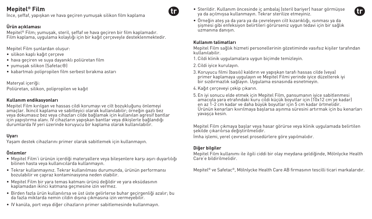İnce, şeffaf, yapışkan ve hava geçiren yumuşak silikon film kaplama

## **Ürün açıklaması**

Mepitel® Film; yumuşak, steril, şeffaf ve hava geçiren bir film kaplamadır. Film kaplama, uygulama kolaylığı için bir kağıt çerçeveyle desteklenmektedir.

Mepitel Film şunlardan oluşur:

- silikon kaplı kağıt çerçeve
- hava geçiren ve suya dayanıklı poliüretan film
- yumuşak silikon (Safetac®)
- kabartmalı polipropilen film serbest bırakma astarı

Materyal içeriği: Poliüretan, silikon, polipropilen ve kağıt

### **Kullanım endikasyonları**

Mepitel Film kırılgan ve hassas cildi korumayı ve cilt bozukluğunu önlemeyi amaçlar. İkincil kaplama ve sabitleyici olarak kullanılabilir; örneğin gazlı bez veya dokumasız bez veya cihazları cilde bağlamak için kullanılan agresif bantlar için yapıştırma alanı. IV cihazların yapışkan bantlar veya dikişlerle bağlandığı durumlarda IV yeri üzerinde koruyucu bir kaplama olarak kullanılabilir.

### **Uyarı**

Yaşam destek cihazlarını primer olarak sabitlemek için kullanmayın.

### **Önlemler**

- Mepitel Film'i ürünün içerdiği materyallere veya bileşenlere karşı aşırı duyarlılığı bilinen hasta veya kullanıcılarda kullanmayın.
- Tekrar kullanmayınız. Tekrar kullanılması durumunda, ürünün performansı bozulabilir ve çapraz kontaminasyona neden olabilir.
- Mepitel Film bir yara temas katmanı ürünü değildir ve yara eksüdasının kaplamadan ikinci katmana geçmesine izin vermez.
- Birden fazla ürün kullanılırsa ve üst üste gelirlerse buhar geçirgenliği azalır; bu da fazla miktarda nemin cildin dışına çıkmasına izin vermeyebilir.
- IV kanüla, port veya diğer cihazların primer sabitlemesinde kullanmayın.
- Sterildir. Kullanım öncesinde iç ambalaj (steril bariyer) hasar görmüşse ya da açılmışsa kullanmayın. Tekrar sterilize etmeyiniz.
- Örneğin ateş ya da yara ya da çevreleyen cilt kızarıklığı, ısınması ya da şişmesi gibi enfeksiyon belirtileri görürseniz uygun tedavi için bir sağlık uzmanına danışın.

#### **Kullanım talimatları**

Mepitel Film sağlık hizmeti personellerinin gözetiminde vasıfsız kişiler tarafından kullanılabilir.

- 1.Cildi klinik uygulamalara uygun biçimde temizleyin.
- 2.Cildi iyice kurulayın.
- 3.Koruyucu filmi (basılı) kaldırın ve yapışkan tarafı hassas cilde (veya) primer kaplamaya uygulayın ve Mepitel Filmi yerinde iyice düzelterek iyi bir sızdırmazlık sağlayın. Uygulama esnasında esnetmeyin.
- 4.Kağıt çerçeveyi çekip çıkarın.
- 5. En iyi sonucu elde etmek için Mepitel Film, pansumanın iyice sabitlenmesi amacıyla yara etrafındaki kuru cildi küçük boyutlar için (10x12 cm'ye kadar) en az 1-2 cm kadar ve daha büyük boyutlar için 5 cm kadar örtmelidir. Ürünün kenarları kıvrılmaya başlarsa aşınma süresini artırmak için bu kenarları yavasca kesin.

Mepitel Film çıkmaya başlar veya hasar görürse veya klinik uygulamada belirtilen şekilde çıkarılırsa değiştirilmelidir.

İmha işlemi, yerel çevresel prosedürlere göre yapılmalıdır.

### **Diğer bilgiler**

Mepitel Film kullanımı ile ilgili ciddi bir olay meydana geldiğinde, Mölnlycke Health Care'e bildirilmelidir.

Mepitel® ve Safetac®, Mölnlycke Health Care AB firmasının tescilli ticari markalarıdır.



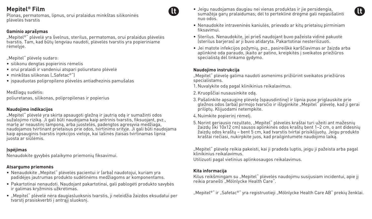Plonas, permatomas, lipnus, orui pralaidus minkštas silikoninės plėvelės tvarstis

#### **Gaminio aprašymas**

"Mepitel®" plėvelė yra švelnus, sterilus, permatomas, orui pralaidus plėvelės tvarstis. Tam, kad būtų lengviau naudoti, plėvelės tvarstis yra popieriniame rėmelyje.

"Mepitel" plėvelę sudaro:

- silikonu dengtas popierinis rėmelis
- orui pralaidi ir vandeniui atspari poliuretano plėvelė
- minkštas silikonas ("Safetac®")
- įspauduotas polipropileno plėvelės antiadhezinis pamušalas

Medžiagų sudėtis: poliuretanas, silikonas, polipropilenas ir popierius

#### **Naudojimo indikacijos**

"Mepitel" plėvelė yra skirta apsaugoti gležną ir jautrią odą ir sumažinti odos sužalojimo riziką. Ji gali būti naudojama kaip antrinis tvarstis, fiksuojant, pvz., marlę ar neaustinį tamponą, arba juostelės, padengtos agresyvia medžiaga, naudojamos tvirtinant prietaisus prie odos, tvirtinimo srityje. Ji gali būti naudojama kaip apsauginis tvarstis injekcijos vietoje, kai lašinės įtaisas tvirtinamas lipnia juosta ar siūlėmis.

#### **Įspėjimas**

Nenaudokite gyvybės palaikymo priemonių fiksavimui.

#### **Atsargumo priemonės**

- Nenaudokite "Mepitel" plėvelės pacientui ir (arba) naudotojui, kuriam yra padidėjęs jautrumas produkto sudėtinėms medžiagoms ar komponentams.
- Pakartotinai nenaudoti. Naudojant pakartotinai, gali pablogėti produkto savybės ir galimas kryžminis užkrėtimas.
- "Mepitel" plėvelė nėra daugiasluoksnis tvarstis, ji neleidžia žaizdos eksudatui per tvarstį prasiskverbti į antrąjį sluoksnį.
- Jeigu naudojamas daugiau nei vienas produktas ir jie persidengia, sumažėja garų pralaidumas; dėl to perteklinė drėgmė gali nepasišalinti nuo odos.
- Nenaudokite intraveninės kaniulės, prievado ar kitų prietaisų pirminiam fiksavimui.
- Sterilus. Nenaudokite, jei prieš naudojant buvo pažeista vidinė pakuotė (sterilus barjeras) ar ji buvo atidaryta. Pakartotinai nesterilizuoti.
- Jei matote infekcijos požymių, pvz., pasireiškė karščiavimas ar žaizda arba aplinkinė oda paraudo, įkaito ar patino, kreipkitės į sveikatos priežiūros specialista dėl tinkamo gydymo.

#### **Naudojimo instrukcija**

"Mepitel" plėvelę galima naudoti asmenims prižiūrint sveikatos priežiūros specialistams.

- 1. Nuvalykite odą pagal klinikinius reikalavimus.
- 2.Kruopščiai nusausinkite odą.
- 3.Pašalinkite apsauginę plėvelę (spausdintinę) ir lipnia puse priglauskite prie gležnos odos (arba) pirmojo tvarsčio ir išlyginkite "Mepitel" plėvelę, kad ji gerai priliptų. Klijuodami netempkite.
- 4. Nuimkite popierinį rėmelį.
- 5. Norint geriausio rezultato, "Mepitel" plėvelės kraštai turi užeiti ant mažesnių žaizdų (iki 10x12 cm) sausos aplinkinės odos kraštų bent 1–2 cm, o ant didesnių žaizdų odos kraštų – bent 5 cm, kad tvarstis tvirtai prisiklijuotų. Jeigu produkto kraštai riečiasi, nukirpkite juos, kad prailgintumėte naudojimo laiką.

"Mepitel" plėvelę reikia pakeisti, kai ji pradeda luptis, jeigu ji pažeista arba pagal klinikinius reikalavimus.

Utilizuoti pagal vietinius aplinkosaugos reikalavimus.

#### **Kita informacija**

Kilus reikšmingam su "Mepitel" plėvelės naudojimu susijusiam incidentui, apie jį reikia pranešti "Mölnlycke Health Care".

"Mepitel®" ir "Safetac®" yra registruotieji "Mölnlycke Health Care AB" prekiu ženklai.

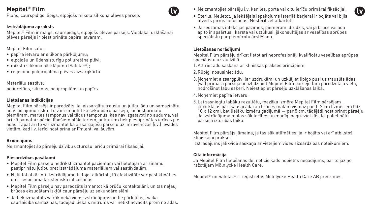Plāns, caurspīdīgs, lipīgs, elpojošs mīksta silikona plēves pārsējs

### **Izstrādājuma apraksts**

Mepitel® Film ir maigs, caurspīdīgs, elpojošs plēves pārsējs. Vieglākai uzklāšanai plēves pārsējs ir piestiprināts papīra ietvaram.

Mepitel Film satur:

- papīra ietvaru ar silikona pārklājumu;
- elpojošu un ūdensizturīgu poliuretāna plēvi;
- mīkstu silikona pārklājumu (Safetac®);
- reljefainu polipropilēna plēves aizsargkārtu.

Materiālu sastāvs: poliuretāns, silikons, polipropilēns un papīrs.

### **Lietošanas indikācijas**

Mepitel Film pārsējs ir paredzēts, lai aizsargātu trauslu un jutīgu ādu un samazinātu ādas bojājumu risku. To var izmantot kā sekundāru pārsēju, lai nostiprinātu, piemēram, marles tamponus vai tādus tamponus, kas nav izgatavoti no auduma, vai arī kā pamatni spēcīgi līpošiem plāksteriem, ar kuriem tiek piestiprinātas ierīces pie ādas. Tāpat arī to var izmantot kā aizsargājošu pārsēju uz intravenozās (i.v.) ievades vietām, kad i.v. ierīci nostiprina ar līmlenti vai šuvēm.

#### **Brīdinājums**

Neizmantojiet šo pārsēju dzīvību uzturošu ierīču primārai fiksācijai.

### **Piesardzības pasākumi**

- Mepitel Film pārsēju nedrīkst izmantot pacientam vai lietotājam ar zināmu pastiprinātu jutību pret izstrādājuma materiāliem vai sastāvdaļām.
- Nelietot atkārtoti! Izstrādājumu lietojot atkārtoti, tā efektivitāte var pasliktināties un ir iespējama krusteniska inficēšanās.
- Mepitel Film pārsēju nav paredzēts izmantot kā brūču kontaktslāni, un tas neļauj brūces eksudātam izkļūt caur pārsēju uz sekundāro slāni.
- Ja tiek izmantots vairāk nekā viens izstrādājums un tie pārklājas, tvaika caurlaidība samazinās, tādējādi liekais mitrums var netikt novadīts prom no ādas.

• Neizmantojiet pārsēju i.v. kaniles, porta vai citu ierīču primārai fiksācijai.



• Ja redzamas infekcijas pazīmes, piemēram, drudzis, vai ja brūce vai āda ap to ir apsārtusi, karsta vai uztūkusi, jākonsultējas ar veselības aprūpes speciālistu par piemērotu ārstēšanu.

### **Lietošanas norādījumi**

**M** 

Mepitel Film pārsēju drīkst lietot arī neprofesionāļi kvalificētu veselības aprūpes speciālistu uzraudzībā.

- 1. Attīriet ādu saskaņā ar klīniskās prakses principiem.
- 2.Rūpīgi nosusiniet ādu.
- 3. Noņemiet aizsargplēvi (ar uzdrukām) un uzklājiet lipīgo pusi uz trauslās ādas (vai) primārā pārsēja un izlīdziniet Mepitel Film pārsēju tam paredzētajā vietā, nodrošinot labu saķeri. Neiestiepiet pārsēju uzklāšanas laikā.
- 4. Noņemiet papīra ietvaru.
- 5. Lai sasniegtu labāku rezultātu, mazāka izmēra Mepitel Film pārsējam jāpārklājas pāri sausai ādai ap brūces malām vismaz par 1–2 cm (izmēriem līdz 10 x 12 cm), bet lielāku izmēru gadījumā — par 5 cm, tādējādi nostiprinot pārsēju. Ja izstrādājuma malas sāk locīties, uzmanīgi nogrieziet tās, lai palielinātu pārsēja izturības laiku.

Mepitel Film pārsējs jāmaina, ja tas sāk atlīmēties, ja ir bojāts vai arī atbilstoši klīniskajai praksei.

Izstrādājums jālikvidē saskaņā ar vietējiem vides aizsardzības noteikumiem.

## **Cita informācija**

Ja Mepitel Film lietošanas dēļ noticis kāds nopietns negadījums, par to jāziņo ražotājam Mölnlycke Health Care.

Mepitel® un Safetac® ir reģistrētas Mölnlycke Health Care AB prečzīmes.

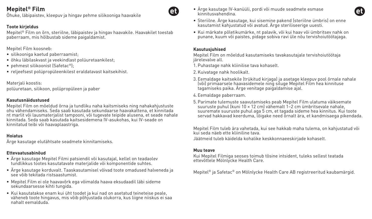Õhuke, läbipaistev, kleepuv ja hingav pehme silikooniga haavakile

### **Toote kirjeldus**

Mepitel® Film on õrn, steriilne, läbipaistev ja hingav haavakile. Haavakilet toestab paberraam, mis hõlbustab sideme paigaldamist.

Mepitel Film koosneb:

- silikooniga kaetud paberraamist;
- õhku läbilaskvast ja veekindlast polüuretaankilest;
- pehmest silikoonist (Safetac®);
- reljeefsest polüpropüleenkilest eraldatavast kaitsekihist.

Materjali koostis: polüuretaan, silikoon, polüpropüleen ja paber

### **Kasutusnäidustused**

Mepitel Film on mõeldud õrna ja tundliku naha kaitsmiseks ning nahakahjustuste ohu vähendamiseks. Seda saab kasutada sekundaarse haavakattena, et kinnitada nt marlit või lausmaterjalist tampooni, või tugevate teipide alusena, et seade nahale kinnitada. Seda saab kasutada kaitsesidemena IV-asukohas, kui IV-seade on kinnitatud teibi või haavaplaastriga.

### **Hoiatus**

Ärge kasutage elutähtsate seadmete kinnitamiseks.

### **Ettevaatusabinõud**

- Ärge kasutage Mepitel Filmi patsiendil või kasutajal, kellel on teadaolev tundlikkus tootes kasutatavate materjalide või komponentide suhtes.
- Ärge kasutage korduvalt. Taaskasutamisel võivad toote omadused halveneda ja see võib tekitada ristsaastumist.
- Mepitel Film ei ole haavavõrk ega võimalda haava eksudaadil läbi sideme sekundaarsesse kihti tungida.
- Kui kasutatakse enam kui üht toodet ja kui nad on asetatud teineteise peale, väheneb toote hingavus, mis võib põhjustada olukorra, kus liigne niiskus ei saa nahalt eemalduda.
- Ärge kasutage IV-kanüüli, pordi või muude seadmete esmase kinnitusvahendina.
- Steriilne. Ärge kasutage, kui sisemine pakend (steriilne ümbris) on enne kasutamist kahjustatud või avatud. Ärge steriliseerige uuesti.
- Kui märkate põletikumärke, nt palavik, või kui haav või ümbritsev nahk on punane, kuum või paistes, pidage sobiva ravi üle nõu tervishoiutöötajaga.

#### **Kasutusjuhised**

Mepitel Film on mõeldud kasutamiseks tavakasutajale tervishoiutöötaja järelevalve all.

- 1.Puhastage nahk kliinilise tava kohaselt.
- 2.Kuivatage nahk hoolikalt.
- 3. Eemaldage kaitsekile (trükitud kirjaga) ja asetage kleepuv pool õrnale nahale (või) primaarsele haavasidemele ning siluge Mepitel Film hea kinnituse tagamiseks paika. Ärge venitage paigaldamise ajal.
- 4. Eemaldage paberraam.
- 5.Parimate tulemuste saavutamiseks peab Mepitel Film ulatuma väiksemate suuruste puhul (kuni 10 × 12 cm) vähemalt 1–2 cm ümbritsevale nahale, suuremate suuruste puhul aga 5 cm, et tagada sideme hea kinnitus. Kui toote servad hakkavad keerduma, lõigake need õrnalt ära, et kandmisaega pikendada.

Mepitel Film tuleb ära vahetada, kui see hakkab maha tulema, on kahjustatud või kui seda näeb ette kliiniline tava. Jäätmeid tuleb käidelda kohalike keskkonnaeeskirjade kohaselt.

#### **Muu teave**

Kui Mepitel Filmiga seoses toimub tõsine intsident, tuleks sellest teatada ettevõttele Mölnlycke Health Care.

Mepitel® ja Safetac® on Mölnlycke Health Care AB registreeritud kaubamärgid.



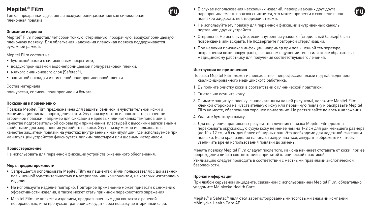Тонкая прозрачная адгезивная воздухопроницаемая мягкая силиконовая пленочная повязка

#### **Описание изделия**

Mepitel® Film представляет собой тонкую, стерильную, прозрачную, воздухопроницаемую пленочную повязку. Для облегчения наложения пленочная повязка поддерживается бумажной рамкой.

Mepitel Film состоит из:

- бумажной рамки с силиконовым покрытием,
- воздухопроницаемой водонепроницаемой полиуретановой пленки,
- мягкого силиконового слоя (Safetac®).
- защитной накладки из тисненой полипропиленовой пленки.

Состав материала: полиуретан, силикон, полипропилен и бумага

#### **Показания к применению**

Повязка Mepitel Film предназначена для защиты ранимой и чувствительной кожи и минимизации риска повреждения кожи. Эту повязку можно использовать в качестве вторичной повязки, например для фиксации марлевых или нетканых тампонов или в качестве подготовительной основы при применении пластырей с высокими адгезивными свойствами для закрепления устройств на коже. Эту повязку можно использовать в качестве защитной повязки на участках внутривенных манипуляций, где используемое при манипуляции устройство фиксируется липким пластырем или шовным материалом.

#### **Предостережение**

Не использовать для первичной фиксации устройств жизненного обеспечения.

#### **Меры предосторожности**

- Запрещается использовать Mepitel Film на пациентах и/или пользователях с доказанной повышенной чувствительностью к материалам или компонентам, из которых изготовлено изделие.
- Не используйте изделие повторно. Повторное применение может привести к снижению эффективности изделия, а также может стать причиной перекрестного заражения.
- Mepitel Film не является изделием, предназначенным для контакта с раневой поверхностью, и не пропускает раневой экссудат через повязку во вторичный слой.
- В случае использования нескольких изделий, перекрывающих друг друга, паропроницаемость повязок снижается, что может привести к скоплению под повязкой жидкости, не отводимой от кожи.
- Не используйте эту повязку для первичной фиксации внутривенных канюль, портов или других устройств.
- Стерильно. Не используйте, если внутренняя упаковка (стерильный барьер) была повреждена или вскрыта. Не подвергайте повторной стерилизации.
- При наличии признаков инфекции, например при повышенной температуре, покраснении кожи вокруг раны, локальном ощущении тепла или отеке обратитесь к медицинскому работнику для получения соответствующего лечения.

#### **Инструкция по применению**

- Повязка Mepitel Film может использоваться непрофессионалами под наблюдением квалифицированного медицинского работника.
- 1. Выполните очистку кожи в соответствии с клинической практикой.
- 2. Тщательно осушите кожу.
- 3. Снимите защитную пленку (с напечатанным на ней рисунком), наложите Mepitel Film клейкой стороной на чувствительную кожу или первичную повязку и расправьте Mepitel Film на месте, обеспечивая хорошее прилегание. Не растягивайте во время наложения.
- 4. Удалите бумажную рамку.
- 5. Для получения правильных результатов лечения повязка Mepitel Film должна перекрывать окружающую сухую кожу не менее чем на 1–2 см для ран меньшего размера (до 10 х 12 см) и 5 см для более обширных ран. Это необходимо для надежной фиксации повязки. Если края изделия начинают закручиваться, аккуратно обрежьте их, чтобы увеличить время использования повязки до замены.

Менять повязку Mepitel Film следует после того, как она начинает отставать от кожи, при ее повреждении либо в соответствии с принятой клинической практикой.

Утилизацию следует проводить в соответствии с местными правилами экологической безопасности.

#### **Прочая информация**

При любом серьезном инциденте, связанном с использованием Mepitel Film, обязательно уведомите Mölnlycke Health Care.

Mepitel® и Safetac® являются зарегистрированными торговыми знаками компании Mölnlycke Health Care AB.

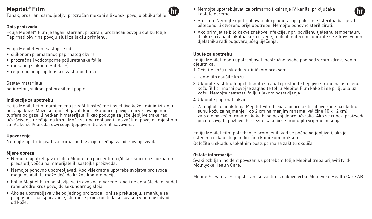Tanak, proziran, samoljepljiv, prozračan mekani silikonski povoj u obliku folije

## **Opis proizvoda**

Folija Mepitel® Film je lagan, sterilan, proziran, prozračan povoj u obliku folije Papirnati okvir na povoju služi za lakšu primjenu.

Folija Mepitel Film sastoji se od:

- silikonom premazanog papirnatog okvira
- prozračne i vodootporne poliuretanske folije.
- mekanog silikona (Safetac®)
- reljefnog polipropilenskog zaštitnog filma.

Sastav materijala: poliuretan, silikon, polipropilen i papir

### **Indikacije za upotrebu**

Folija Mepitel Film namijenjena je zaštiti oštećene i osjetljive kože i minimiziranju pucanja kože. Može se upotrebljavati kao sekundarni povoj za učvršćivanje npr. tupfera od gaze ili netkanih materijala ili kao podloga za jače ljepljive trake radi učvršćivanja uređaja na kožu. Može se upotrebljavati kao zaštitni povoj na mjestima za IV ako se IV uređaj učvršćuje ljepljivom trakom ili šavovima.

#### **Upozorenje**

Nemojte upotrebljavati za primarnu fiksaciju uređaja za održavanje života.

### **Mjere opreza**

- Nemojte upotrebljavati foliju Mepitel na pacijentima i/ili korisnicima s poznatom preosjetljivošću na materijale ili sastojke proizvoda.
- Nemojte ponovno upotrebljavati. Kod višekratne upotrebe svojstva proizvoda mogu oslabiti te može doći do križne kontaminacije.
- Folija Mepitel Film ne stavlja se izravno na otvorene rane i ne dopušta da eksudat rane prodre kroz povoj do sekundarnog sloja.
- Ako se upotrebljava više od jednog proizvoda i oni se preklapaju, smanjuje se propusnost na isparavanje, što može prouzročiti da se suvišna vlaga ne odvodi od kože.

• Nemojte upotrebljavati za primarno fiksiranje IV kanila, priključaka i ostale opreme.



- Sterilno. Nemojte upotrebljavati ako je unutarnje pakiranje (sterilna barijera) oštećeno ili otvoreno prije upotrebe. Nemojte ponovno sterilizirati.
- Ako primijetite bilo kakve znakove infekcije, npr. povišenu tjelesnu temperaturu ili ako su rana ili okolna koža crvene, tople ili natečene, obratite se zdravstvenom djelatniku radi odgovarajućeg liječenja.

### **Upute za upotrebu**

Foliju Mepitel mogu upotrebljavati nestručne osobe pod nadzorom zdravstvenih djelatnika.

- 1.Očistite kožu u skladu s kliničkom praksom.
- 2. Temeljito osušite kožu.
- 3.Uklonite zaštitnu foliju (otisnuta strana) i prislonite ljepljivu stranu na oštećenu kožu (ili) primarni povoj te zagladite foliju Mepitel Film kako bi se priljubila uz kožu. Nemojte rastezati foliju tijekom postavljanja.
- 4.Uklonite papirnati okvir.
- 5. Za najbolji učinak folija Mepitel Film trebala bi prelaziti rubove rane na okolnu suhu kožu za najmanje 1 do 2 cm na manjim ranama (veličine 10 x 12 cm) i za 5 cm na većim ranama kako bi se povoj dobro učvrstio. Ako se rubovi proizvoda počnu savijati, pažljivo ih izrežite kako bi se produljilo vrijeme nošenja.

Foliju Mepitel Film potrebno je promijeniti kad se počne odljepljivati, ako je oštećena ili kao što je indiciráno kliničkom praksom. Odložite u skladu s lokalnim postupcima za zaštitu okoliša.

### **Ostale informacije**

Svaki ozbiljan incident povezan s upotrebom folije Mepitel treba prijaviti tvrtki Mölnlycke Health Care.

Mepitel® i Safetac® registrirani su zaštitni znakovi tvrtke Mölnlycke Health Care AB.

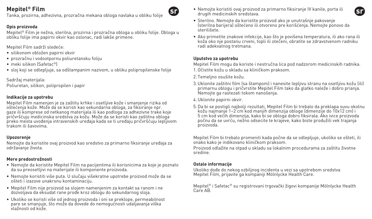Tanka, prozirna, adhezivna, prozračna mekana obloga navlaka u obliku folije

## **Opis proizvoda**

Mepitel® Film je nežna, sterilna, prozirna i prozračna obloga u obliku folije. Obloga u obliku folije ima papirni okvir kao oslonac, radi lakše primene.

Mepitel Film sadrži sledeće:

- silikonom obložen papirni okvir
- prozračnu i vodootpornu poliuretansku foliju
- meki silikon (Safetac®)
- sloj koji se odlepljuje, sa odštampanim nazivom, u obliku polipropilenske folije

Sadržaj materijala: Poliuretan, silikon, polipropilen i papir

### **Indikacije za upotrebu**

Mepitel Film namenjen je za zaštitu krhke i osetljive kože i smanjenje rizika od oštećenja kože. Može da se koristi kao sekundarna obloga, za fiksiranje npr. gaze ili komprese od netkanog materijala ili kao podloga za adhezivne trake koje pričvršćuju medicinska sredstva za kožu. Može da se koristi kao zaštitna obloga preko mesta uvođenja intravenskih uređaja kada se ti uređaju pričvršćuju lepljivom trakom ili šavovima.

### **Upozorenje**

Nemojte da koristite ovaj proizvod kao sredstvo za primarno fiksiranje uređaja za održavanje života.

## **Mere predostrožnosti**

- Nemojte da koristite Mepitel Film na pacijentima ili korisnicima za koje je poznato da su preosetljivi na materijale ili komponente proizvoda.
- Nemojte koristiti više puta. U slučaju višekratne upotrebe proizvod može da se ošteti i izazove unakrsnu kontaminaciju.
- Mepitel Film nije proizvod sa slojem namenjenim za kontakt sa ranom i ne dozvoljava da eksudat rane prođe kroz oblogu do sekundarnog sloja.
- Ukoliko se koristi više od jednog proizvoda i oni se preklope, permeabilnost pare se smanjuje, što može da dovede do nemogućnosti udaljavanja viška vlažnosti od kože.
- Nemojte koristiti ovaj proizvod za primarno fiksiranje IV kanile, porta ili drugih medicinskih sredstava.
- Sterilno. Nemojte da koristite proizvod ako je unutrašnje pakovanje (sterilna barijera) oštećeno ili otvoreno pre korišćenja. Nemojte ponovo da sterilišete.
- Ako primetite znakove infekcije, kao što je povišena temperatura, ili ako rana ili koža oko nje postanu crveni, topli ili otečeni, obratite se zdravstvenom radniku radi adekvatnog tretmana.

#### **Uputstvo za upotrebu**

Gì

Mepitel Film mogu da koriste i nestručna lica pod nadzorom medicinskih radnika. 1.Očistite kožu u skladu sa kliničkom praksom.

- 2. Temeljno osušite kožu.
- 3.Uklonite zaštitni film (sa štampom) i nanesite lepljivu stranu na osetljivu kožu (ili) primarnu oblogu i pričvrstite Mepitel Film tako da glatko naleže i dobro prianja. Nemojte ga rastezati tokom nanošenja.
- 4.Uklonite papirni okvir.
- 5.Da bi se postigli najbolji rezultati, Mepitel Film bi trebalo da preklapa suvu okolnu kožu najmanje 1–2 cm kod manjih dimenzija obloge (dimenzije do 10x12 cm) i 5 cm kod većih dimenzija, kako bi se obloga dobro fiksirala. Ako ivice proizvoda počnu da se uvrću, nežno odsecite te krajeve, kako biste produžili vek trajanja proizvoda.

Mepitel Film bi trebalo promeniti kada počne da se odlepljuje, ukoliko se ošteti, ili onako kako je indikovano kliničkom praksom.

Proizvod odlažite na otpad u skladu sa lokalnim procedurama za zaštitu životne sredine.

### **Ostale informacije**

Ukoliko dođe do nekog ozbiljnog incidenta u vezi sa upotrebom sredstva Mepitel Film, prijavite ga kompaniji Mölnlycke Health Care.

Mepitel® i Safetac® su registrovani trgovački žigovi kompanije Mölnlycke Health Care AB.

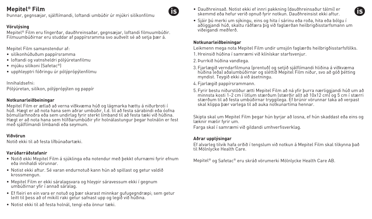Þunnar, gegnsæjar, sjálflímandi, loftandi umbúðir úr mjúkri silíkonfilmu

## **Vörulýsing**

Mepitel® Film eru fíngerðar, dauðhreinsaðar, gegnsæjar, loftandi filmuumbúðir. Filmuumbúðirnar eru studdar af pappírsramma svo auðvelt sé að setja þær á.

Mepitel Film samanstendur af:

- silíkonhúðuðum pappírsramma
- loftandi og vatnsheldri pólýúretanfilmu
- mjúku silíkoni (Safetac®)
- upphleyptri fóðringu úr pólýprópýlenfilmu

Innihaldsefni: Pólýúretan, silíkon, pólýprópýlen og pappír

### **Notkunarleiðbeiningar**

Mepitel Film er ætlað að verna viðkvæma húð og lágmarka hættu á niðurbroti í húð. Hægt er að nota hana sem aðrar umbúðir, t.d. til að festa sárabindi eða óofna bómullarhnoðra eða sem undirlag fyrir sterkt límband til að festa tæki við húðina. Hægt er að nota hana sem hlífðarumbúðir yfir holnálastungur þegar holnálin er fest með sjálflímandi límbandi eða seymum.

### **Viðvörun**

Notið ekki til að festa lífbúnaðartæki.

### **Varúðarráðstafanir**

- Notið ekki Mepitel Film á sjúklinga eða notendur með þekkt ofurnæmi fyrir efnum eða innihaldi vörunnar.
- Notist ekki aftur. Sé varan endurnotuð kann hún að spillast og getur valdið krossmengun.
- Mepitel Film er ekki sáralagsvara og hleypir sáravessum ekki í gegnum umbúðirnar yfir í annað sáralag.
- Ef fleiri en ein vara er notuð og þær skarast minnkar gufugegndræpi; sem getur leitt til þess að of mikill raki getur safnast upp og legið við húðina.
- Notist ekki til að festa holnál, tengi eða önnur tæki.
- Dauðhreinsað. Notist ekki ef innri pakkning (dauðhreinsaður tálmi) er skemmd eða hefur verið opnuð fyrir notkun. Dauðhreinsist ekki aftur.
- Sjáir þú merki um sýkingu, eins og hita í sárinu eða roða, hita eða bólgu í aðliggjandi húð, skaltu ráðfæra þig við faglærðan heilbrigðisstarfsmann um viðeigandi meðferð.

#### **Notkunarleiðbeiningar**

G

Leikmenn mega nota Mepitel Film undir umsjón faglærðs heilbrigðisstarfsfólks.

- 1.Hreinsið húðina í samræmi við klínískar starfsvenjur.
- 2.Þurrkið húðina vandlega.
- 3. Fjarlægið verndarfilmuna (prentuð) og setjið sjálflímandi hliðina á viðkvæma húðina (eða) aðalumbúðirnar og sléttið Mepitel Film niður, svo að góð þétting myndist. Teygið ekki á við ásetningu.
- 4. Fjarlægið pappírsrammann.
- 5. Fyrir bestu niðurstöður ætti Mepitel Film að ná yfir þurra nærliggjandi húð um að minnsta kosti 1-2 cm í litlum stærðum (stærðir allt að 10x12 cm) og 5 cm í stærri stærðum til að festa umbúðirnar tryggilega. Ef brúnir vörunnar taka að verpast skal klippa þær varlega til að auka notkunartíma hennar.

Skipta skal um Mepitel Film þegar hún byrjar að losna, ef hún skaddast eða eins og læknir mælir fyrir um.

Farga skal í samræmi við gildandi umhverfisverklag.

### **Aðrar upplýsingar**

Ef alvarleg tilvik hafa orðið í tengslum við notkun á Mepitel Film skal tilkynna það til Mölnlycke Health Care.

Mepitel® og Safetac® eru skráð vörumerki Mölnlycke Health Care AB.

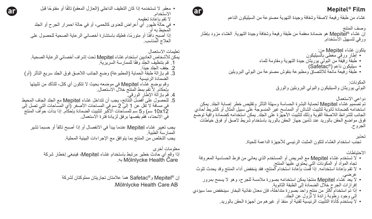غشاء من طبقة ر فيعة لاصقة وشفافة وجيدة التهوية مصنو عة من السيليكون الناعم

وصف العنتج<br>إن غشاء ®Mepitel هو ضمادة معقمة من طبقة رفيعة وشفافة وجيدة التهوية. الغشاء مزود بإطار ورقي لتسهيل االستخدام.

- يتكون غشاء Mepitel من:
- إطار ورقي مغطى بالسيليكون • طبقة رقيقة من البولي يوريثان جيدة التهوية ومقاومة للماء
	- $\text{(Safeiac}^{\circledR})$  سيليكون ناعم (
- طبقة رفيعة مانعة لاللتصاق ومطبوعة بنقوش مصنوعة من البولي البروبلين

المكونات: البولي يوريثان والسيليكون والبولي البروبلين والورق

دواعي االستعمال تم تصميم غشاء Mepitel لحماية البشرة الحساسة وسهلة التأثر وتقليص خطر إصابة الجلد. يمكن استخدامه كضمادة ثانوية لتثبيت الشاش أو المماسح غير المنسوجة على سبيل المثال أو كشريط أحادي الجانب للشرائط اللاصقة القوية وذلك لتثبيت الأجهزة على الجلّد. يمكن استخدامه كضمّادة واّقية توضع فوق مواضع الحقن بالوريد عند تأمين جهاز الحقن بالوريد باستخدام شريط الصق أو فوق خياطات الجروح.

> تحذير تجنب استخدام الغشاء لتكون المثبت الرئيسي لألجهزة الداعمة للحياة.

> > االحتياطات

- ال تستخدم غشاء Mepitel مع المريض أو المستخدم الذي يعاني من فرط الحساسية المعروفة تجاه المواد او المكونات التي يحتوي عليها المنتج.<br>• لا تقم بإعادة استخدامه. إذا قمت بإعادة استخدام المنتج، فقد ينخفض أداء المنتج وقد يحدث تلوث
- عرضي.<br>• لا يعد غشاء Mepitel منتجًا يمكن استخدامه بصورة ملامسة للجرح، وهو لا يسمح بمرور
- إفرازات الجرح خالل الضمادة إلى الطبقة الثانوية.
- إذا تم استخدام آكثر من منتج واحد بصورة متداخلة، فإن معدل نفاذية البخار سينخفض مما سيؤدي<br>إلى وجود رطوبة زائدة لا تزول عن الجلد
	- لا يُستخدم كَاداة التثّبيت الرئيسية لقنية أو منفذ أو غير هم من أجهز ة الحقن بالوريد.
- معقم. لا تستخدمه إذا كان التغليف الداخلي (العازل المعقم) تالفًا أو مفتوحًا قبل االستخدام. ال تقم بإعادة تعقيمه.
- في حالة ظهور أي أعراض للعدوى كالحمى، أو في حالة احمرار الجرح أو الجلد المحيط به أو إذا أصبح دافثًا أو متورمًا، فعليك باستشارة أخصائي الرعاية الصحية للحصول على العالج المناسب.

تعليمات االستعمال

 $\epsilon$ 

يمكن لألشخاص العاديين استخدام غشاء Mepitel تحت إشراف أخصائي الرعاية الصحية. 1. قم بتنظيف الجلد وفقًا للممارسة السريرية.

- 2. جفف الجلد جيدًا.
- 3. قم بإزالة طبقة الحماية (المطبوعة) وضع الجانب اللاصق فوق الجلد سريع التأثر (أو) الضمادة الرئيسية وقم بوضع غشاء Mepitel في موضعه بحيث ال تتكون أي كتل، للتأكد من تثبيتها بإحكام. ال تقم بمط المنتج خالل االستعمال.
	- .4 قم بإزالة اإلطار الورقي.
- .5 للحصول على أفضل النتائج، يجب أن تتداخل غشاء Mepitel مع الجلد الجاف المحيط في مسافة لا تقل عن 1 إلى 2 سم في المساحات الأصـغر (أي المساحات التي تصـل إلى<br>10x12 سم) و 5 سم للمساحات الأكبر لتثبيت الضمادة بإحكام. إذا بدأت حواف المنتج في االنحناء، فقم بقصها برفق لزيادة فترة االستعمال.

يجب تغيير غشاء Mepitel عندما يبدأ في الانفصال أو إذا أصبح تالفاً أو حسما تشير الممارسة الطبية. يجب التخلص من المنتج بما يتوافق مع اإلجراءات البيئية المحلية.

معلومات أخرى إذا وقع أي حادث خطير مرتبط باستخدام غشاء Mepitel، فينبغي إخطار شركة<br>Mölnlycke Health Care به.

> إن RMepitel وRSafetac هما عالمتان تجاريتان مملوكتان لشركة .Mölnlycke Health Care AB